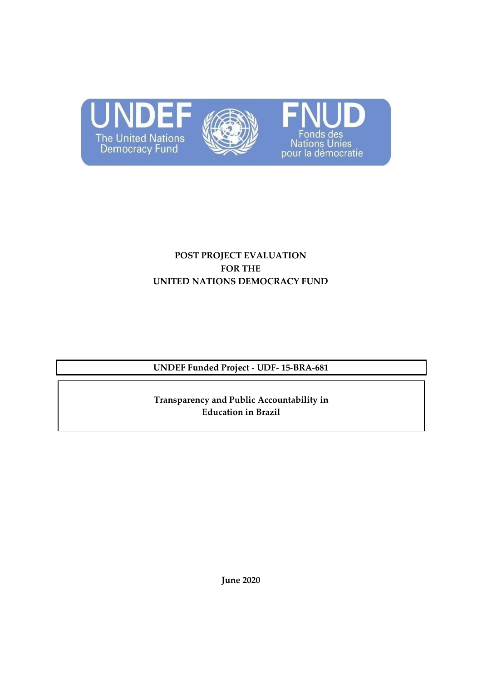





# **POST PROJECT EVALUATION FOR THE UNITED NATIONS DEMOCRACY FUND**

**UNDEF Funded Project - UDF- 15-BRA-681**

**Transparency and Public Accountability in Education in Brazil** 

**June 2020**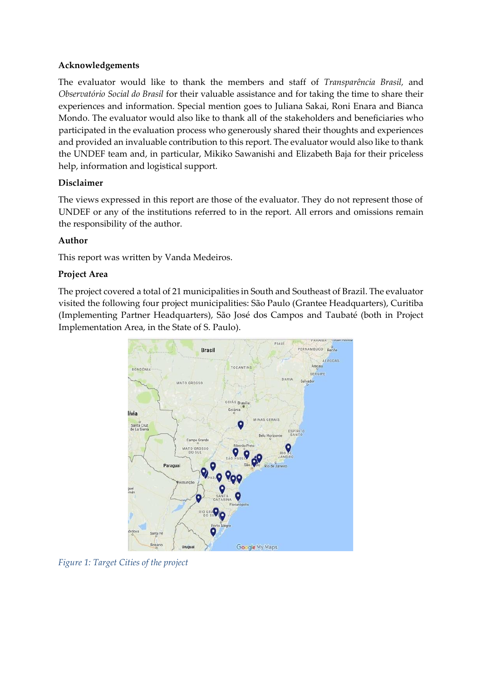### **Acknowledgements**

The evaluator would like to thank the members and staff of *Transparência Brasil,* and *Observatório Social do Brasil* for their valuable assistance and for taking the time to share their experiences and information. Special mention goes to Juliana Sakai, Roni Enara and Bianca Mondo. The evaluator would also like to thank all of the stakeholders and beneficiaries who participated in the evaluation process who generously shared their thoughts and experiences and provided an invaluable contribution to this report. The evaluator would also like to thank the UNDEF team and, in particular, Mikiko Sawanishi and Elizabeth Baja for their priceless help, information and logistical support.

## **Disclaimer**

The views expressed in this report are those of the evaluator. They do not represent those of UNDEF or any of the institutions referred to in the report. All errors and omissions remain the responsibility of the author.

### **Author**

This report was written by Vanda Medeiros.

## **Project Area**

The project covered a total of 21 municipalities in South and Southeast of Brazil. The evaluator visited the following four project municipalities: São Paulo (Grantee Headquarters), Curitiba (Implementing Partner Headquarters), São José dos Campos and Taubaté (both in Project Implementation Area, in the State of S. Paulo).



*Figure 1: Target Cities of the project*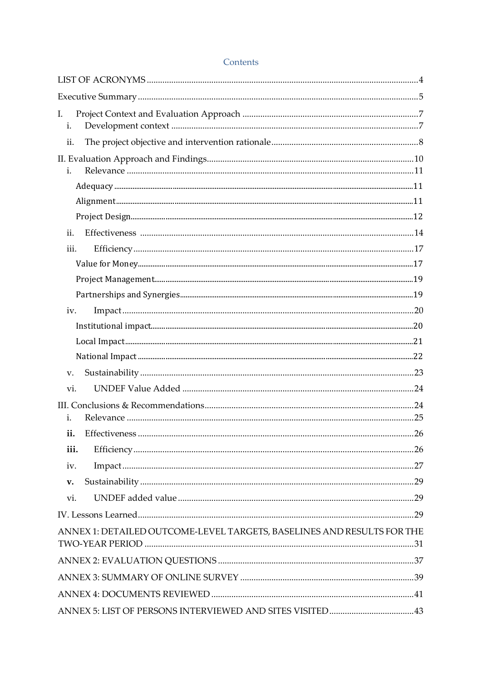| I.   |                                                                        |  |
|------|------------------------------------------------------------------------|--|
| i.   |                                                                        |  |
| ii.  |                                                                        |  |
|      |                                                                        |  |
| i.   |                                                                        |  |
|      |                                                                        |  |
|      |                                                                        |  |
|      |                                                                        |  |
| ii.  |                                                                        |  |
| iii. |                                                                        |  |
|      |                                                                        |  |
|      |                                                                        |  |
|      |                                                                        |  |
| iv.  |                                                                        |  |
|      |                                                                        |  |
|      |                                                                        |  |
|      |                                                                        |  |
| V.   |                                                                        |  |
| vi.  |                                                                        |  |
| i.   |                                                                        |  |
| ii.  |                                                                        |  |
| iii. |                                                                        |  |
| iv.  |                                                                        |  |
| v.   |                                                                        |  |
| vi.  |                                                                        |  |
|      |                                                                        |  |
|      |                                                                        |  |
|      | ANNEX 1: DETAILED OUTCOME-LEVEL TARGETS, BASELINES AND RESULTS FOR THE |  |
|      |                                                                        |  |
|      |                                                                        |  |
|      |                                                                        |  |
|      |                                                                        |  |

#### Contents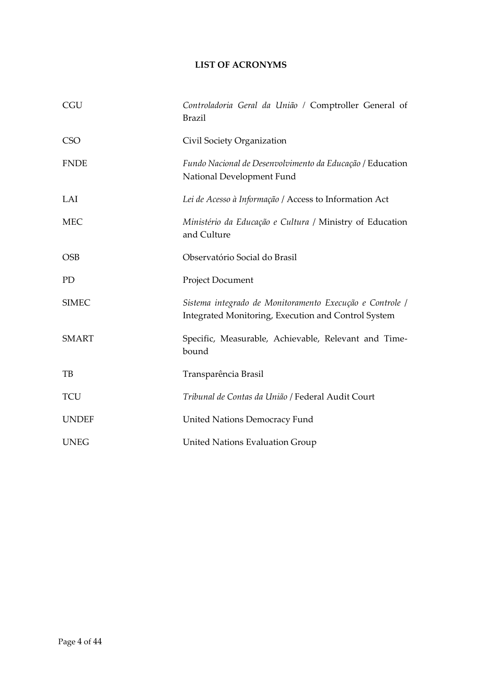## **LIST OF ACRONYMS**

<span id="page-3-0"></span>

| <b>CGU</b>   | Controladoria Geral da União / Comptroller General of<br><b>Brazil</b>                                          |
|--------------|-----------------------------------------------------------------------------------------------------------------|
| <b>CSO</b>   | Civil Society Organization                                                                                      |
| <b>FNDE</b>  | Fundo Nacional de Desenvolvimento da Educação / Education<br>National Development Fund                          |
| LAI          | Lei de Acesso à Informação / Access to Information Act                                                          |
| <b>MEC</b>   | Ministério da Educação e Cultura / Ministry of Education<br>and Culture                                         |
| <b>OSB</b>   | Observatório Social do Brasil                                                                                   |
| PD           | Project Document                                                                                                |
| <b>SIMEC</b> | Sistema integrado de Monitoramento Execução e Controle /<br>Integrated Monitoring, Execution and Control System |
| <b>SMART</b> | Specific, Measurable, Achievable, Relevant and Time-<br>bound                                                   |
| TB           | Transparência Brasil                                                                                            |
| <b>TCU</b>   | Tribunal de Contas da União / Federal Audit Court                                                               |
| <b>UNDEF</b> | <b>United Nations Democracy Fund</b>                                                                            |
| <b>UNEG</b>  | <b>United Nations Evaluation Group</b>                                                                          |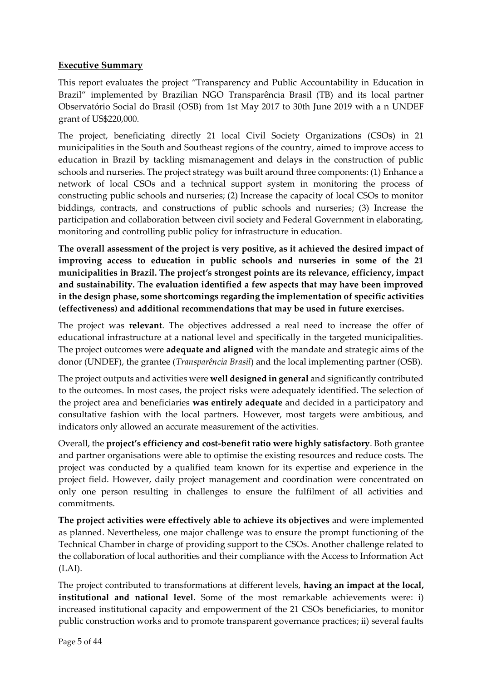## <span id="page-4-0"></span>**Executive Summary**

This report evaluates the project "Transparency and Public Accountability in Education in Brazil" implemented by Brazilian NGO Transparência Brasil (TB) and its local partner Observatório Social do Brasil (OSB) from 1st May 2017 to 30th June 2019 with a n UNDEF grant of US\$220,000.

The project, beneficiating directly 21 local Civil Society Organizations (CSOs) in 21 municipalities in the South and Southeast regions of the country, aimed to improve access to education in Brazil by tackling mismanagement and delays in the construction of public schools and nurseries. The project strategy was built around three components: (1) Enhance a network of local CSOs and a technical support system in monitoring the process of constructing public schools and nurseries; (2) Increase the capacity of local CSOs to monitor biddings, contracts, and constructions of public schools and nurseries; (3) Increase the participation and collaboration between civil society and Federal Government in elaborating, monitoring and controlling public policy for infrastructure in education.

**The overall assessment of the project is very positive, as it achieved the desired impact of improving access to education in public schools and nurseries in some of the 21 municipalities in Brazil. The project's strongest points are its relevance, efficiency, impact and sustainability. The evaluation identified a few aspects that may have been improved in the design phase, some shortcomings regarding the implementation of specific activities (effectiveness) and additional recommendations that may be used in future exercises.**

The project was **relevant**. The objectives addressed a real need to increase the offer of educational infrastructure at a national level and specifically in the targeted municipalities. The project outcomes were **adequate and aligned** with the mandate and strategic aims of the donor (UNDEF), the grantee (*Transparência Brasil*) and the local implementing partner (OSB).

The project outputs and activities were **well designed in general** and significantly contributed to the outcomes. In most cases, the project risks were adequately identified. The selection of the project area and beneficiaries **was entirely adequate** and decided in a participatory and consultative fashion with the local partners. However, most targets were ambitious, and indicators only allowed an accurate measurement of the activities.

Overall, the **project's efficiency and cost-benefit ratio were highly satisfactory**. Both grantee and partner organisations were able to optimise the existing resources and reduce costs. The project was conducted by a qualified team known for its expertise and experience in the project field. However, daily project management and coordination were concentrated on only one person resulting in challenges to ensure the fulfilment of all activities and commitments.

**The project activities were effectively able to achieve its objectives** and were implemented as planned. Nevertheless, one major challenge was to ensure the prompt functioning of the Technical Chamber in charge of providing support to the CSOs. Another challenge related to the collaboration of local authorities and their compliance with the Access to Information Act (LAI).

The project contributed to transformations at different levels, **having an impact at the local, institutional and national level**. Some of the most remarkable achievements were: i) increased institutional capacity and empowerment of the 21 CSOs beneficiaries, to monitor public construction works and to promote transparent governance practices; ii) several faults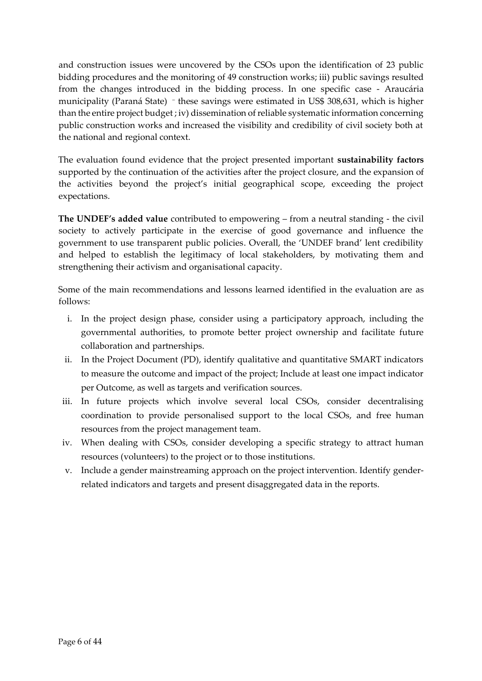and construction issues were uncovered by the CSOs upon the identification of 23 public bidding procedures and the monitoring of 49 construction works; iii) public savings resulted from the changes introduced in the bidding process. In one specific case - Araucária municipality (Paraná State) – these savings were estimated in US\$ 308,631, which is higher than the entire project budget ; iv) dissemination of reliable systematic information concerning public construction works and increased the visibility and credibility of civil society both at the national and regional context.

The evaluation found evidence that the project presented important **sustainability factors** supported by the continuation of the activities after the project closure, and the expansion of the activities beyond the project's initial geographical scope, exceeding the project expectations.

**The UNDEF's added value** contributed to empowering – from a neutral standing - the civil society to actively participate in the exercise of good governance and influence the government to use transparent public policies. Overall, the 'UNDEF brand' lent credibility and helped to establish the legitimacy of local stakeholders, by motivating them and strengthening their activism and organisational capacity.

Some of the main recommendations and lessons learned identified in the evaluation are as follows:

- i. In the project design phase, consider using a participatory approach, including the governmental authorities, to promote better project ownership and facilitate future collaboration and partnerships.
- ii. In the Project Document (PD), identify qualitative and quantitative SMART indicators to measure the outcome and impact of the project; Include at least one impact indicator per Outcome, as well as targets and verification sources.
- iii. In future projects which involve several local CSOs, consider decentralising coordination to provide personalised support to the local CSOs, and free human resources from the project management team.
- iv. When dealing with CSOs, consider developing a specific strategy to attract human resources (volunteers) to the project or to those institutions.
- v. Include a gender mainstreaming approach on the project intervention. Identify genderrelated indicators and targets and present disaggregated data in the reports.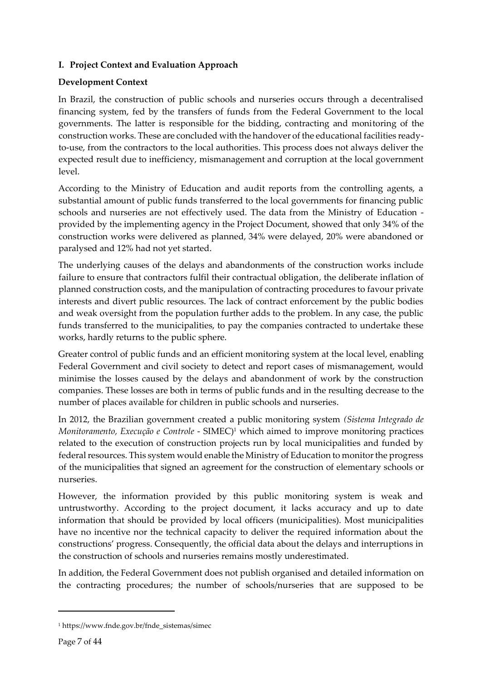## <span id="page-6-0"></span>**I. Project Context and Evaluation Approach**

## <span id="page-6-1"></span>**Development Context**

In Brazil, the construction of public schools and nurseries occurs through a decentralised financing system, fed by the transfers of funds from the Federal Government to the local governments. The latter is responsible for the bidding, contracting and monitoring of the construction works. These are concluded with the handover of the educational facilities readyto-use, from the contractors to the local authorities. This process does not always deliver the expected result due to inefficiency, mismanagement and corruption at the local government level.

According to the Ministry of Education and audit reports from the controlling agents, a substantial amount of public funds transferred to the local governments for financing public schools and nurseries are not effectively used. The data from the Ministry of Education provided by the implementing agency in the Project Document, showed that only 34% of the construction works were delivered as planned, 34% were delayed, 20% were abandoned or paralysed and 12% had not yet started.

The underlying causes of the delays and abandonments of the construction works include failure to ensure that contractors fulfil their contractual obligation, the deliberate inflation of planned construction costs, and the manipulation of contracting procedures to favour private interests and divert public resources. The lack of contract enforcement by the public bodies and weak oversight from the population further adds to the problem. In any case, the public funds transferred to the municipalities, to pay the companies contracted to undertake these works, hardly returns to the public sphere.

Greater control of public funds and an efficient monitoring system at the local level, enabling Federal Government and civil society to detect and report cases of mismanagement, would minimise the losses caused by the delays and abandonment of work by the construction companies. These losses are both in terms of public funds and in the resulting decrease to the number of places available for children in public schools and nurseries.

In 2012, the Brazilian government created a public monitoring system *(Sistema Integrado de Monitoramento, Execução e Controle* - SIMEC)<sup>1</sup> which aimed to improve monitoring practices related to the execution of construction projects run by local municipalities and funded by federal resources. This system would enable the Ministry of Education to monitor the progress of the municipalities that signed an agreement for the construction of elementary schools or nurseries.

However, the information provided by this public monitoring system is weak and untrustworthy. According to the project document, it lacks accuracy and up to date information that should be provided by local officers (municipalities). Most municipalities have no incentive nor the technical capacity to deliver the required information about the constructions' progress. Consequently, the official data about the delays and interruptions in the construction of schools and nurseries remains mostly underestimated.

In addition, the Federal Government does not publish organised and detailed information on the contracting procedures; the number of schools/nurseries that are supposed to be

<sup>1</sup> https://www.fnde.gov.br/fnde\_sistemas/simec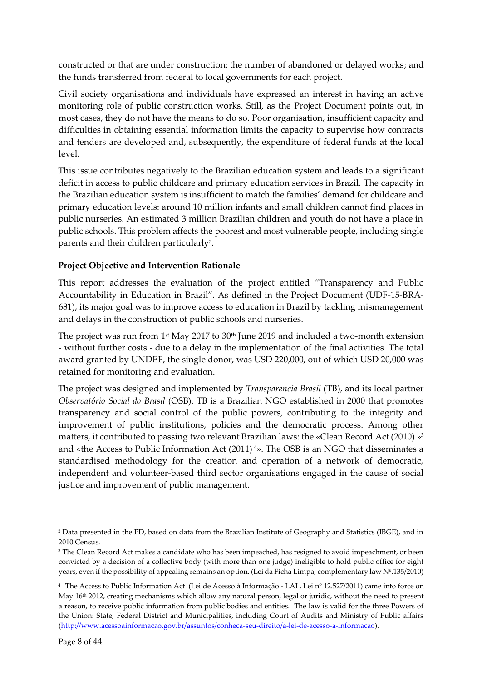constructed or that are under construction; the number of abandoned or delayed works; and the funds transferred from federal to local governments for each project.

Civil society organisations and individuals have expressed an interest in having an active monitoring role of public construction works. Still, as the Project Document points out, in most cases, they do not have the means to do so. Poor organisation, insufficient capacity and difficulties in obtaining essential information limits the capacity to supervise how contracts and tenders are developed and, subsequently, the expenditure of federal funds at the local level.

This issue contributes negatively to the Brazilian education system and leads to a significant deficit in access to public childcare and primary education services in Brazil. The capacity in the Brazilian education system is insufficient to match the families' demand for childcare and primary education levels: around 10 million infants and small children cannot find places in public nurseries. An estimated 3 million Brazilian children and youth do not have a place in public schools. This problem affects the poorest and most vulnerable people, including single parents and their children particularly<sup>2</sup>.

## <span id="page-7-0"></span>**Project Objective and Intervention Rationale**

This report addresses the evaluation of the project entitled "Transparency and Public Accountability in Education in Brazil". As defined in the Project Document (UDF-15-BRA-681), its major goal was to improve access to education in Brazil by tackling mismanagement and delays in the construction of public schools and nurseries.

The project was run from  $1<sup>st</sup>$  May 2017 to 30<sup>th</sup> June 2019 and included a two-month extension - without further costs - due to a delay in the implementation of the final activities. The total award granted by UNDEF, the single donor, was USD 220,000, out of which USD 20,000 was retained for monitoring and evaluation.

The project was designed and implemented by *Transparencia Brasil* (TB)*,* and its local partner *Observatório Social do Brasil* (OSB). TB is a Brazilian NGO established in 2000 that promotes transparency and social control of the public powers, contributing to the integrity and improvement of public institutions, policies and the democratic process. Among other matters, it contributed to passing two relevant Brazilian laws: the «Clean Record Act (2010) »<sup>3</sup> and «the Access to Public Information Act (2011) <sup>4</sup>». The OSB is an NGO that disseminates a standardised methodology for the creation and operation of a network of democratic, independent and volunteer-based third sector organisations engaged in the cause of social justice and improvement of public management.

<sup>2</sup> Data presented in the PD, based on data from the Brazilian Institute of Geography and Statistics (IBGE), and in 2010 Census.

<sup>&</sup>lt;sup>3</sup> The Clean Record Act makes a candidate who has been impeached, has resigned to avoid impeachment, or been convicted by a decision of a collective body (with more than one judge) ineligible to hold public office for eight years, even if the possibility of appealing remains an option. (Lei da Ficha Limpa, complementary law Nº.135/2010)

<sup>4</sup> The Access to Public Information Act (Lei de Acesso à Informação - LAI [, Lei nº 12.527/2011\)](http://www.planalto.gov.br/ccivil_03/_ato2011-2014/2011/lei/l12527.htm) came into force on May 16th 2012, creating mechanisms which allow any natural person, legal or juridic, without the need to present a reason, to receive public information from public bodies and entities. The law is valid for the three Powers of the Union: State, Federal District and Municipalities, including Court of Audits and Ministry of Public affairs [\(http://www.acessoainformacao.gov.br/assuntos/conheca-seu-direito/a-lei-de-acesso-a-informacao\)](http://www.acessoainformacao.gov.br/assuntos/conheca-seu-direito/a-lei-de-acesso-a-informacao).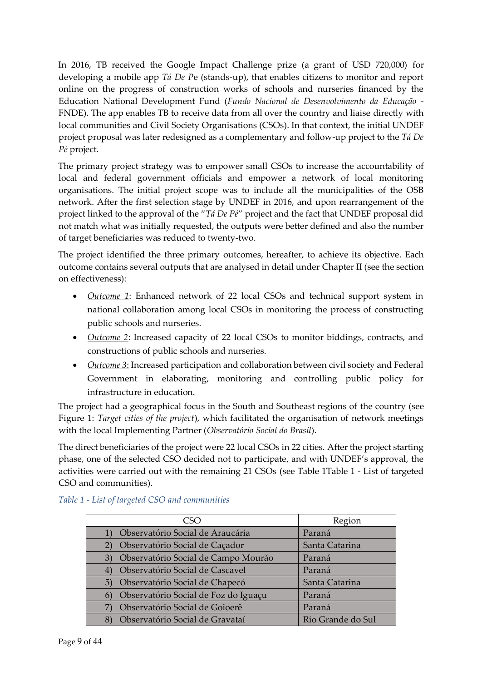In 2016, TB received the Google Impact Challenge prize (a grant of USD 720,000) for developing a mobile app *Tá De P*e (stands-up), that enables citizens to monitor and report online on the progress of construction works of schools and nurseries financed by the Education National Development Fund (*Fundo Nacional de Desenvolvimento da Educação* - FNDE). The app enables TB to receive data from all over the country and liaise directly with local communities and Civil Society Organisations (CSOs). In that context, the initial UNDEF project proposal was later redesigned as a complementary and follow-up project to the *Tá De Pé* project.

The primary project strategy was to empower small CSOs to increase the accountability of local and federal government officials and empower a network of local monitoring organisations. The initial project scope was to include all the municipalities of the OSB network. After the first selection stage by UNDEF in 2016, and upon rearrangement of the project linked to the approval of the "*Tá De Pé*" project and the fact that UNDEF proposal did not match what was initially requested, the outputs were better defined and also the number of target beneficiaries was reduced to twenty-two.

The project identified the three primary outcomes, hereafter, to achieve its objective. Each outcome contains several outputs that are analysed in detail under Chapter II (see the section on effectiveness):

- *Outcome 1*: Enhanced network of 22 local CSOs and technical support system in national collaboration among local CSOs in monitoring the process of constructing public schools and nurseries.
- *Outcome 2*: Increased capacity of 22 local CSOs to monitor biddings, contracts, and constructions of public schools and nurseries.
- *Outcome 3*: Increased participation and collaboration between civil society and Federal Government in elaborating, monitoring and controlling public policy for infrastructure in education.

The project had a geographical focus in the South and Southeast regions of the country (see Figure 1: *Target cities of the project*), which facilitated the organisation of network meetings with the local Implementing Partner (*Observatório Social do Brasil*).

The direct beneficiaries of the project were 22 local CSOs in 22 cities. After the project starting phase, one of the selected CSO decided not to participate, and with UNDEF's approval, the activities were carried out with the remaining 21 CSOs (see [Table 1T](#page-8-0)able 1 - [List of targeted](#page-8-0)  [CSO and communities\)](#page-8-0).

| CSO                                                       | Region            |
|-----------------------------------------------------------|-------------------|
| Observatório Social de Araucária                          | Paraná            |
| Observatório Social de Caçador                            | Santa Catarina    |
| Observatório Social de Campo Mourão<br>3)                 | Paraná            |
| Observatório Social de Cascavel<br>$\left( 4\right)$      | Paraná            |
| Observatório Social de Chapecó<br>5)                      | Santa Catarina    |
| Observatório Social de Foz do Iguaçu<br>$\lceil 6 \rceil$ | Paraná            |
| Observatório Social de Goioerê                            | Paraná            |
| Observatório Social de Gravataí                           | Rio Grande do Sul |

## <span id="page-8-0"></span>*Table 1 - List of targeted CSO and communities*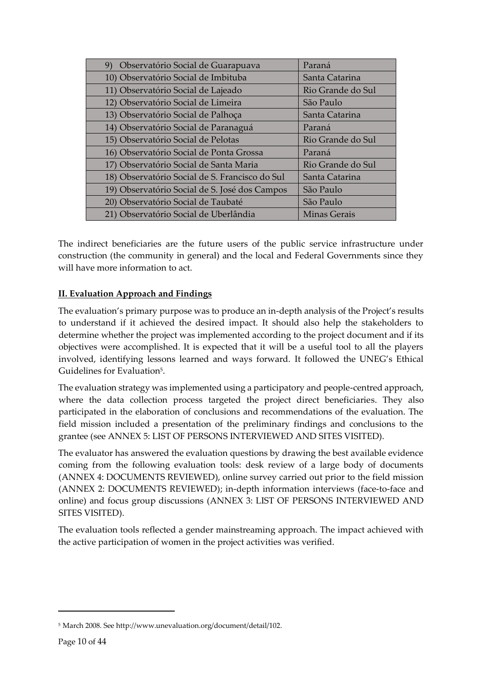| Observatório Social de Guarapuava<br>9)        | Paraná              |
|------------------------------------------------|---------------------|
| 10) Observatório Social de Imbituba            | Santa Catarina      |
| 11) Observatório Social de Lajeado             | Rio Grande do Sul   |
| 12) Observatório Social de Limeira             | São Paulo           |
| 13) Observatório Social de Palhoça             | Santa Catarina      |
| 14) Observatório Social de Paranaguá           | Paraná              |
| 15) Observatório Social de Pelotas             | Rio Grande do Sul   |
| 16) Observatório Social de Ponta Grossa        | Paraná              |
| 17) Observatório Social de Santa Maria         | Rio Grande do Sul   |
| 18) Observatório Social de S. Francisco do Sul | Santa Catarina      |
| 19) Observatório Social de S. José dos Campos  | São Paulo           |
| 20) Observatório Social de Taubaté             | São Paulo           |
| 21) Observatório Social de Uberlândia          | <b>Minas Gerais</b> |

The indirect beneficiaries are the future users of the public service infrastructure under construction (the community in general) and the local and Federal Governments since they will have more information to act.

## <span id="page-9-0"></span>**II. Evaluation Approach and Findings**

The evaluation's primary purpose was to produce an in-depth analysis of the Project's results to understand if it achieved the desired impact. It should also help the stakeholders to determine whether the project was implemented according to the project document and if its objectives were accomplished. It is expected that it will be a useful tool to all the players involved, identifying lessons learned and ways forward. It followed the UNEG's Ethical Guidelines for Evaluation<sup>5</sup>.

The evaluation strategy was implemented using a participatory and people-centred approach, where the data collection process targeted the project direct beneficiaries. They also participated in the elaboration of conclusions and recommendations of the evaluation. The field mission included a presentation of the preliminary findings and conclusions to the grantee (see ANNEX 5: LIST [OF PERSONS INTERVIEWED AND SITES VISITED\)](#page-42-0).

The evaluator has answered the evaluation questions by drawing the best available evidence coming from the following evaluation tools: desk review of a large body of documents [\(ANNEX 4: DOCUMENTS REVIEWED\)](#page-40-0), online survey carried out prior to the field mission (ANNEX 2: DOCUMENTS REVIEWED); in-depth information interviews (face-to-face and online) and focus group discussions (ANNEX 3: LIST OF PERSONS INTERVIEWED AND SITES VISITED).

The evaluation tools reflected a gender mainstreaming approach. The impact achieved with the active participation of women in the project activities was verified.

<sup>5</sup> March 2008. Se[e http://www.unevaluation.org/document/detail/102.](http://www.unevaluation.org/document/detail/102)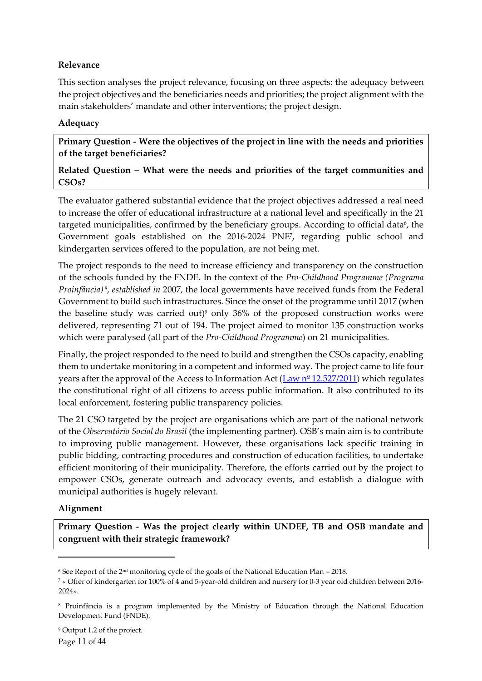## <span id="page-10-0"></span>**Relevance**

This section analyses the project relevance, focusing on three aspects: the adequacy between the project objectives and the beneficiaries needs and priorities; the project alignment with the main stakeholders' mandate and other interventions; the project design.

## <span id="page-10-1"></span>**Adequacy**

**Primary Question - Were the objectives of the project in line with the needs and priorities of the target beneficiaries?** 

## **Related Question – What were the needs and priorities of the target communities and CSOs?**

The evaluator gathered substantial evidence that the project objectives addressed a real need to increase the offer of educational infrastructure at a national level and specifically in the 21 targeted municipalities, confirmed by the beneficiary groups. According to official data<sup>6</sup>, the Government goals established on the 2016-2024 PNE<sup>7</sup> , regarding public school and kindergarten services offered to the population, are not being met.

The project responds to the need to increase efficiency and transparency on the construction of the schools funded by the FNDE. In the context of the *Pro-Childhood Programme (Programa Proinfância)* <sup>8</sup> *, established in* 2007, the local governments have received funds from the Federal Government to build such infrastructures. Since the onset of the programme until 2017 (when the baseline study was carried out) <sup>9</sup> only 36% of the proposed construction works were delivered, representing 71 out of 194. The project aimed to monitor 135 construction works which were paralysed (all part of the *Pro-Childhood Programme*) on 21 municipalities.

Finally, the project responded to the need to build and strengthen the CSOs capacity, enabling them to undertake monitoring in a competent and informed way. The project came to life four years after the approval of the Access to Information Act ( $\frac{Law n^{\circ} 12.527/2011}$ ) which regulates the constitutional right of all citizens to access public information. It also contributed to its local enforcement, fostering public transparency policies.

The 21 CSO targeted by the project are organisations which are part of the national network of the *Observatório Social do Brasil* (the implementing partner). OSB's main aim is to contribute to improving public management. However, these organisations lack specific training in public bidding, contracting procedures and construction of education facilities, to undertake efficient monitoring of their municipality. Therefore, the efforts carried out by the project to empower CSOs, generate outreach and advocacy events, and establish a dialogue with municipal authorities is hugely relevant.

#### <span id="page-10-2"></span>**Alignment**

**Primary Question - Was the project clearly within UNDEF, TB and OSB mandate and congruent with their strategic framework?**

 $6$  See Report of the  $2<sup>nd</sup>$  monitoring cycle of the goals of the National Education Plan – 2018.

<sup>7</sup> « Offer of kindergarten for 100% of 4 and 5-year-old children and nursery for 0-3 year old children between 2016- 2024».

<sup>8</sup> Proinfância is a program implemented by the Ministry of Education through the National Education Development Fund (FNDE).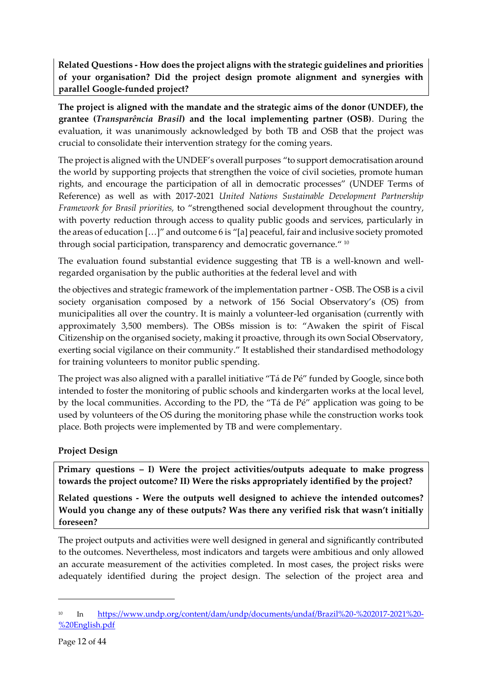**Related Questions - How does the project aligns with the strategic guidelines and priorities of your organisation? Did the project design promote alignment and synergies with parallel Google-funded project?**

**The project is aligned with the mandate and the strategic aims of the donor (UNDEF), the grantee (***Transparência Brasil***) and the local implementing partner (OSB)**. During the evaluation, it was unanimously acknowledged by both TB and OSB that the project was crucial to consolidate their intervention strategy for the coming years.

The project is aligned with the UNDEF's overall purposes "to support democratisation around the world by supporting projects that strengthen the voice of civil societies, promote human rights, and encourage the participation of all in democratic processes" (UNDEF Terms of Reference) as well as with 2017-2021 *United Nations Sustainable Development Partnership Framework for Brasil priorities,* to "strengthened social development throughout the country, with poverty reduction through access to quality public goods and services, particularly in the areas of education […]" and outcome 6 is "[a] peaceful, fair and inclusive society promoted through social participation, transparency and democratic governance." 10

The evaluation found substantial evidence suggesting that TB is a well-known and wellregarded organisation by the public authorities at the federal level and with

the objectives and strategic framework of the implementation partner - OSB. The OSB is a civil society organisation composed by a network of 156 Social Observatory's (OS) from municipalities all over the country. It is mainly a volunteer-led organisation (currently with approximately 3,500 members). The OBSs mission is to: "Awaken the spirit of Fiscal Citizenship on the organised society, making it proactive, through its own Social Observatory, exerting social vigilance on their community." It established their standardised methodology for training volunteers to monitor public spending.

The project was also aligned with a parallel initiative "Tá de Pé" funded by Google, since both intended to foster the monitoring of public schools and kindergarten works at the local level, by the local communities. According to the PD, the "Tá de Pé" application was going to be used by volunteers of the OS during the monitoring phase while the construction works took place. Both projects were implemented by TB and were complementary.

## <span id="page-11-0"></span>**Project Design**

**Primary questions – I) Were the project activities/outputs adequate to make progress towards the project outcome? II) Were the risks appropriately identified by the project?**

**Related questions - Were the outputs well designed to achieve the intended outcomes? Would you change any of these outputs? Was there any verified risk that wasn't initially foreseen?**

The project outputs and activities were well designed in general and significantly contributed to the outcomes. Nevertheless, most indicators and targets were ambitious and only allowed an accurate measurement of the activities completed. In most cases, the project risks were adequately identified during the project design. The selection of the project area and

<sup>&</sup>lt;sup>10</sup> In [https://www.undp.org/content/dam/undp/documents/undaf/Brazil%20-%202017-2021%20-](https://www.undp.org/content/dam/undp/documents/undaf/Brazil%20-%202017-2021%20-%20English.pdf) [%20English.pdf](https://www.undp.org/content/dam/undp/documents/undaf/Brazil%20-%202017-2021%20-%20English.pdf)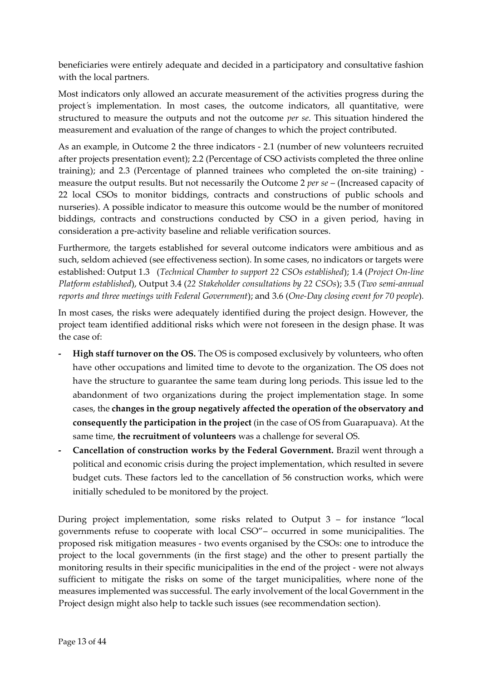beneficiaries were entirely adequate and decided in a participatory and consultative fashion with the local partners.

Most indicators only allowed an accurate measurement of the activities progress during the project's implementation. In most cases, the outcome indicators, all quantitative, were structured to measure the outputs and not the outcome *per se*. This situation hindered the measurement and evaluation of the range of changes to which the project contributed.

As an example, in Outcome 2 the three indicators - 2.1 (number of new volunteers recruited after projects presentation event); 2.2 (Percentage of CSO activists completed the three online training); and 2.3 (Percentage of planned trainees who completed the on-site training) measure the output results. But not necessarily the Outcome 2 *per se* – (Increased capacity of 22 local CSOs to monitor biddings, contracts and constructions of public schools and nurseries). A possible indicator to measure this outcome would be the number of monitored biddings, contracts and constructions conducted by CSO in a given period, having in consideration a pre-activity baseline and reliable verification sources.

Furthermore, the targets established for several outcome indicators were ambitious and as such, seldom achieved (see effectiveness section). In some cases, no indicators or targets were established: Output 1.3 (*Technical Chamber to support 22 CSOs established*); 1.4 (*Project On-line Platform established*), Output 3.4 (*22 Stakeholder consultations by 22 CSOs*); 3.5 (*Two semi-annual reports and three meetings with Federal Government*); and 3.6 (*One-Day closing event for 70 people*)*.*

In most cases, the risks were adequately identified during the project design. However, the project team identified additional risks which were not foreseen in the design phase. It was the case of:

- **- High staff turnover on the OS.** The OS is composed exclusively by volunteers, who often have other occupations and limited time to devote to the organization. The OS does not have the structure to guarantee the same team during long periods. This issue led to the abandonment of two organizations during the project implementation stage. In some cases, the **changes in the group negatively affected the operation of the observatory and consequently the participation in the project** (in the case of OS from Guarapuava). At the same time, **the recruitment of volunteers** was a challenge for several OS.
- **- Cancellation of construction works by the Federal Government.** Brazil went through a political and economic crisis during the project implementation, which resulted in severe budget cuts. These factors led to the cancellation of 56 construction works, which were initially scheduled to be monitored by the project.

During project implementation, some risks related to Output 3 – for instance "local governments refuse to cooperate with local CSO"– occurred in some municipalities. The proposed risk mitigation measures - two events organised by the CSOs: one to introduce the project to the local governments (in the first stage) and the other to present partially the monitoring results in their specific municipalities in the end of the project - were not always sufficient to mitigate the risks on some of the target municipalities, where none of the measures implemented was successful. The early involvement of the local Government in the Project design might also help to tackle such issues (see recommendation section).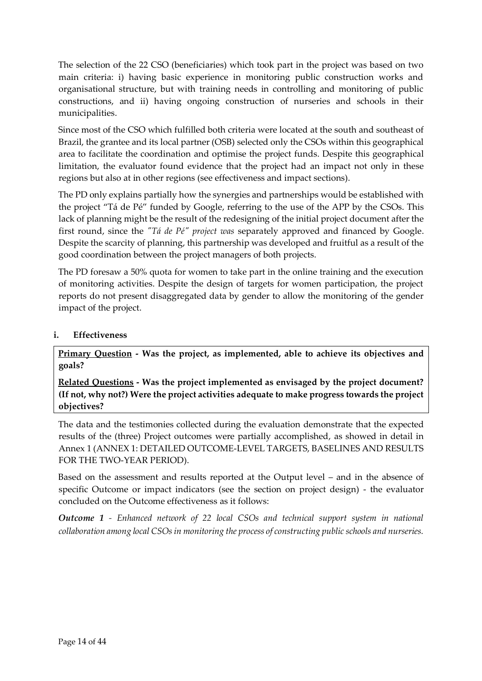The selection of the 22 CSO (beneficiaries) which took part in the project was based on two main criteria: i) having basic experience in monitoring public construction works and organisational structure, but with training needs in controlling and monitoring of public constructions, and ii) having ongoing construction of nurseries and schools in their municipalities.

Since most of the CSO which fulfilled both criteria were located at the south and southeast of Brazil, the grantee and its local partner (OSB) selected only the CSOs within this geographical area to facilitate the coordination and optimise the project funds. Despite this geographical limitation, the evaluator found evidence that the project had an impact not only in these regions but also at in other regions (see effectiveness and impact sections).

The PD only explains partially how the synergies and partnerships would be established with the project "Tá de Pé" funded by Google, referring to the use of the APP by the CSOs. This lack of planning might be the result of the redesigning of the initial project document after the first round, since the *"Tá de Pé" project was* separately approved and financed by Google. Despite the scarcity of planning, this partnership was developed and fruitful as a result of the good coordination between the project managers of both projects.

The PD foresaw a 50% quota for women to take part in the online training and the execution of monitoring activities. Despite the design of targets for women participation, the project reports do not present disaggregated data by gender to allow the monitoring of the gender impact of the project.

### <span id="page-13-0"></span>**i. Effectiveness**

**Primary Question - Was the project, as implemented, able to achieve its objectives and goals?**

**Related Questions - Was the project implemented as envisaged by the project document? (If not, why not?) Were the project activities adequate to make progress towards the project objectives?** 

The data and the testimonies collected during the evaluation demonstrate that the expected results of the (three) Project outcomes were partially accomplished, as showed in detail in Annex 1 [\(ANNEX 1: DETAILED OUTCOME-LEVEL TARGETS, BASELINES AND RESULTS](#page-30-0)  [FOR THE TWO-YEAR PERIOD\)](#page-30-0).

Based on the assessment and results reported at the Output level – and in the absence of specific Outcome or impact indicators (see the section on project design) - the evaluator concluded on the Outcome effectiveness as it follows:

*Outcome 1 - Enhanced network of 22 local CSOs and technical support system in national collaboration among local CSOs in monitoring the process of constructing public schools and nurseries.*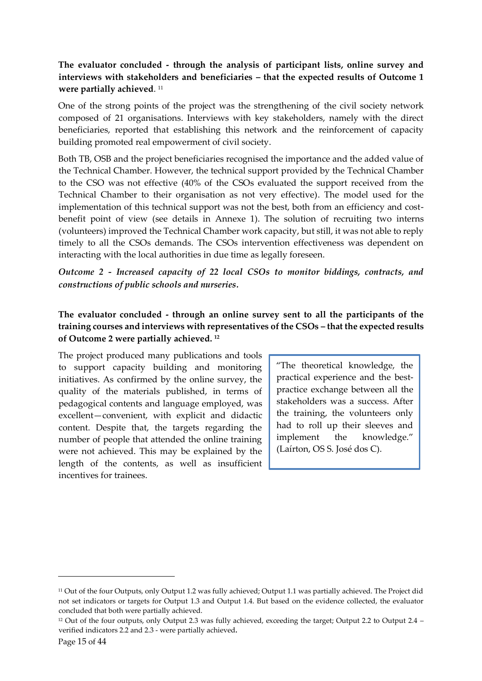## **The evaluator concluded - through the analysis of participant lists, online survey and interviews with stakeholders and beneficiaries – that the expected results of Outcome 1 were partially achieved**. 11

One of the strong points of the project was the strengthening of the civil society network composed of 21 organisations. Interviews with key stakeholders, namely with the direct beneficiaries, reported that establishing this network and the reinforcement of capacity building promoted real empowerment of civil society.

Both TB, OSB and the project beneficiaries recognised the importance and the added value of the Technical Chamber. However, the technical support provided by the Technical Chamber to the CSO was not effective (40% of the CSOs evaluated the support received from the Technical Chamber to their organisation as not very effective). The model used for the implementation of this technical support was not the best, both from an efficiency and costbenefit point of view (see details in Annexe 1). The solution of recruiting two interns (volunteers) improved the Technical Chamber work capacity, but still, it was not able to reply timely to all the CSOs demands. The CSOs intervention effectiveness was dependent on interacting with the local authorities in due time as legally foreseen.

*Outcome 2 - Increased capacity of 22 local CSOs to monitor biddings, contracts, and constructions of public schools and nurseries.*

## **The evaluator concluded - through an online survey sent to all the participants of the training courses and interviews with representatives of the CSOs – that the expected results of Outcome 2 were partially achieved. <sup>12</sup>**

The project produced many publications and tools to support capacity building and monitoring initiatives. As confirmed by the online survey, the quality of the materials published, in terms of pedagogical contents and language employed, was excellent—convenient, with explicit and didactic content. Despite that, the targets regarding the number of people that attended the online training were not achieved. This may be explained by the length of the contents, as well as insufficient incentives for trainees.

"The theoretical knowledge, the practical experience and the bestpractice exchange between all the stakeholders was a success. After the training, the volunteers only had to roll up their sleeves and implement the knowledge." (Laírton, OS S. José dos C).

<sup>11</sup> Out of the four Outputs, only Output 1.2 was fully achieved; Output 1.1 was partially achieved. The Project did not set indicators or targets for Output 1.3 and Output 1.4. But based on the evidence collected, the evaluator concluded that both were partially achieved.

<sup>12</sup> Out of the four outputs, only Output 2.3 was fully achieved, exceeding the target; Output 2.2 to Output 2.4 – verified indicators 2.2 and 2.3 - were partially achieved**.**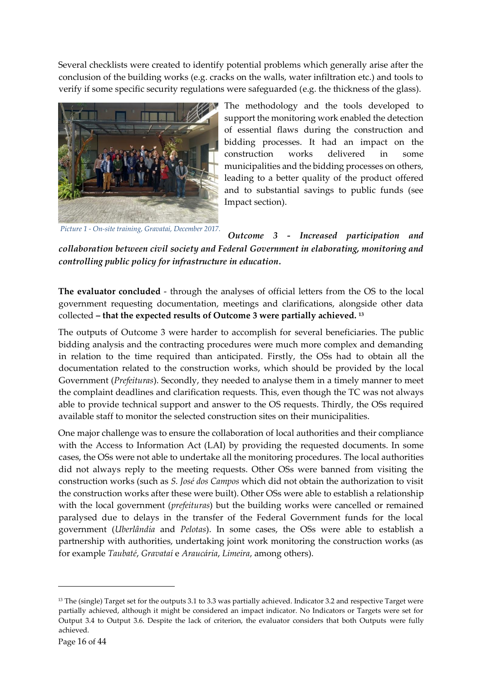Several checklists were created to identify potential problems which generally arise after the conclusion of the building works (e.g. cracks on the walls, water infiltration etc.) and tools to verify if some specific security regulations were safeguarded (e.g. the thickness of the glass).



*Picture 1 - On-site training, Gravatai, December 2017.*

The methodology and the tools developed to support the monitoring work enabled the detection of essential flaws during the construction and bidding processes. It had an impact on the construction works delivered in some municipalities and the bidding processes on others, leading to a better quality of the product offered and to substantial savings to public funds (see Impact section).

*Outcome 3 - Increased participation and collaboration between civil society and Federal Government in elaborating, monitoring and controlling public policy for infrastructure in education.*

**The evaluator concluded** - through the analyses of official letters from the OS to the local government requesting documentation, meetings and clarifications, alongside other data collected **– that the expected results of Outcome 3 were partially achieved. <sup>13</sup>**

The outputs of Outcome 3 were harder to accomplish for several beneficiaries. The public bidding analysis and the contracting procedures were much more complex and demanding in relation to the time required than anticipated. Firstly, the OSs had to obtain all the documentation related to the construction works, which should be provided by the local Government (*Prefeituras*). Secondly, they needed to analyse them in a timely manner to meet the complaint deadlines and clarification requests. This, even though the TC was not always able to provide technical support and answer to the OS requests. Thirdly, the OSs required available staff to monitor the selected construction sites on their municipalities.

One major challenge was to ensure the collaboration of local authorities and their compliance with the Access to Information Act (LAI) by providing the requested documents. In some cases, the OSs were not able to undertake all the monitoring procedures. The local authorities did not always reply to the meeting requests. Other OSs were banned from visiting the construction works (such as *S. José dos Campos* which did not obtain the authorization to visit the construction works after these were built). Other OSs were able to establish a relationship with the local government (*prefeituras*) but the building works were cancelled or remained paralysed due to delays in the transfer of the Federal Government funds for the local government (*Uberlândia* and *Pelotas*). In some cases, the OSs were able to establish a partnership with authorities, undertaking joint work monitoring the construction works (as for example *Taubaté*, *Gravataí* e *Araucária*, *Limeira*, among others).

<sup>&</sup>lt;sup>13</sup> The (single) Target set for the outputs 3.1 to 3.3 was partially achieved. Indicator 3.2 and respective Target were partially achieved, although it might be considered an impact indicator. No Indicators or Targets were set for Output 3.4 to Output 3.6. Despite the lack of criterion, the evaluator considers that both Outputs were fully achieved.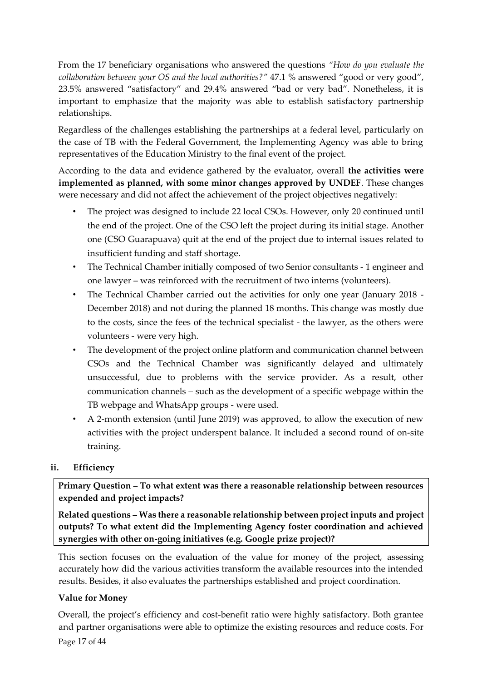From the 17 beneficiary organisations who answered the questions *"How do you evaluate the collaboration between your OS and the local authorities?"* 47.1 % answered "good or very good", 23.5% answered "satisfactory" and 29.4% answered "bad or very bad". Nonetheless, it is important to emphasize that the majority was able to establish satisfactory partnership relationships.

Regardless of the challenges establishing the partnerships at a federal level, particularly on the case of TB with the Federal Government, the Implementing Agency was able to bring representatives of the Education Ministry to the final event of the project.

According to the data and evidence gathered by the evaluator, overall **the activities were implemented as planned, with some minor changes approved by UNDEF**. These changes were necessary and did not affect the achievement of the project objectives negatively:

- The project was designed to include 22 local CSOs. However, only 20 continued until the end of the project. One of the CSO left the project during its initial stage. Another one (CSO Guarapuava) quit at the end of the project due to internal issues related to insufficient funding and staff shortage.
- The Technical Chamber initially composed of two Senior consultants 1 engineer and one lawyer – was reinforced with the recruitment of two interns (volunteers).
- The Technical Chamber carried out the activities for only one year (January 2018 December 2018) and not during the planned 18 months. This change was mostly due to the costs, since the fees of the technical specialist - the lawyer, as the others were volunteers - were very high.
- The development of the project online platform and communication channel between CSOs and the Technical Chamber was significantly delayed and ultimately unsuccessful, due to problems with the service provider. As a result, other communication channels – such as the development of a specific webpage within the TB webpage and WhatsApp groups - were used.
- A 2-month extension (until June 2019) was approved, to allow the execution of new activities with the project underspent balance. It included a second round of on-site training.

## <span id="page-16-0"></span>**ii. Efficiency**

**Primary Question – To what extent was there a reasonable relationship between resources expended and project impacts?** 

**Related questions – Was there a reasonable relationship between project inputs and project outputs? To what extent did the Implementing Agency foster coordination and achieved synergies with other on-going initiatives (e.g. Google prize project)?**

This section focuses on the evaluation of the value for money of the project, assessing accurately how did the various activities transform the available resources into the intended results. Besides, it also evaluates the partnerships established and project coordination.

## <span id="page-16-1"></span>**Value for Money**

Overall, the project's efficiency and cost-benefit ratio were highly satisfactory. Both grantee and partner organisations were able to optimize the existing resources and reduce costs. For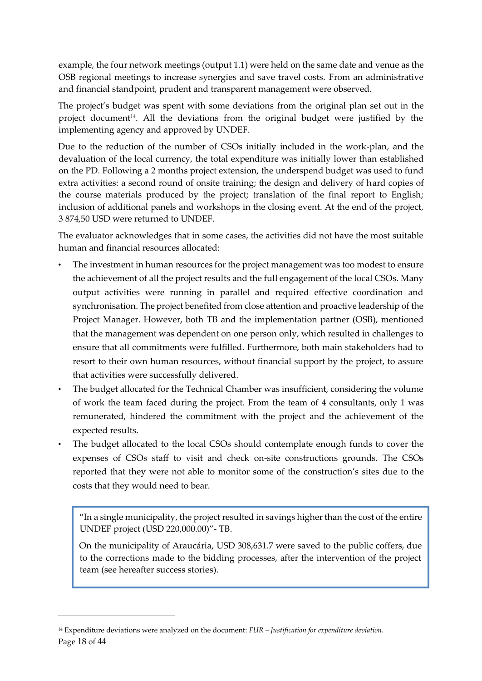example, the four network meetings (output 1.1) were held on the same date and venue as the OSB regional meetings to increase synergies and save travel costs. From an administrative and financial standpoint, prudent and transparent management were observed.

The project's budget was spent with some deviations from the original plan set out in the project document<sup>14</sup>. All the deviations from the original budget were justified by the implementing agency and approved by UNDEF.

Due to the reduction of the number of CSOs initially included in the work-plan, and the devaluation of the local currency, the total expenditure was initially lower than established on the PD. Following a 2 months project extension, the underspend budget was used to fund extra activities: a second round of onsite training; the design and delivery of hard copies of the course materials produced by the project; translation of the final report to English; inclusion of additional panels and workshops in the closing event. At the end of the project, 3 874,50 USD were returned to UNDEF.

The evaluator acknowledges that in some cases, the activities did not have the most suitable human and financial resources allocated:

- The investment in human resources for the project management was too modest to ensure the achievement of all the project results and the full engagement of the local CSOs. Many output activities were running in parallel and required effective coordination and synchronisation. The project benefited from close attention and proactive leadership of the Project Manager. However, both TB and the implementation partner (OSB), mentioned that the management was dependent on one person only, which resulted in challenges to ensure that all commitments were fulfilled. Furthermore, both main stakeholders had to resort to their own human resources, without financial support by the project, to assure that activities were successfully delivered.
- The budget allocated for the Technical Chamber was insufficient, considering the volume of work the team faced during the project. From the team of 4 consultants, only 1 was remunerated, hindered the commitment with the project and the achievement of the expected results.
- The budget allocated to the local CSOs should contemplate enough funds to cover the expenses of CSOs staff to visit and check on-site constructions grounds. The CSOs reported that they were not able to monitor some of the construction's sites due to the costs that they would need to bear.

"In a single municipality, the project resulted in savings higher than the cost of the entire UNDEF project (USD 220,000.00)"- TB.

On the municipality of Araucária, USD 308,631.7 were saved to the public coffers, due to the corrections made to the bidding processes, after the intervention of the project team (see hereafter success stories).

Page 18 of 44 <sup>14</sup> Expenditure deviations were analyzed on the document: *FUR – Justification for expenditure deviation*.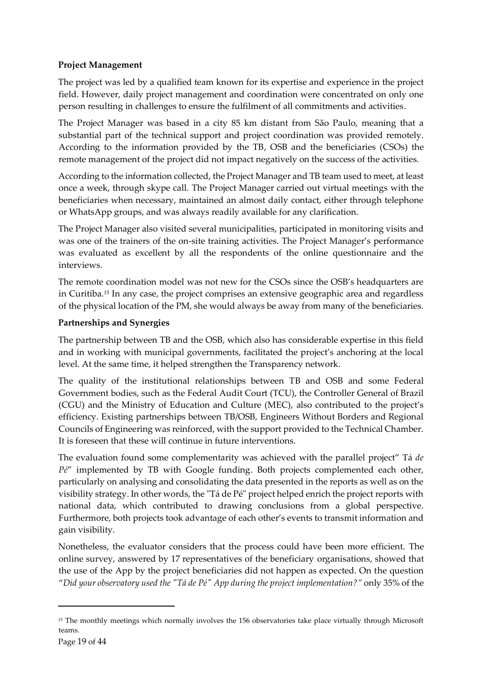## <span id="page-18-0"></span>**Project Management**

The project was led by a qualified team known for its expertise and experience in the project field. However, daily project management and coordination were concentrated on only one person resulting in challenges to ensure the fulfilment of all commitments and activities.

The Project Manager was based in a city 85 km distant from São Paulo, meaning that a substantial part of the technical support and project coordination was provided remotely. According to the information provided by the TB, OSB and the beneficiaries (CSOs) the remote management of the project did not impact negatively on the success of the activities.

According to the information collected, the Project Manager and TB team used to meet, at least once a week, through skype call. The Project Manager carried out virtual meetings with the beneficiaries when necessary, maintained an almost daily contact, either through telephone or WhatsApp groups, and was always readily available for any clarification.

The Project Manager also visited several municipalities, participated in monitoring visits and was one of the trainers of the on-site training activities. The Project Manager's performance was evaluated as excellent by all the respondents of the online questionnaire and the interviews.

The remote coordination model was not new for the CSOs since the OSB's headquarters are in Curitiba.<sup>15</sup> In any case, the project comprises an extensive geographic area and regardless of the physical location of the PM, she would always be away from many of the beneficiaries.

## <span id="page-18-1"></span>**Partnerships and Synergies**

The partnership between TB and the OSB, which also has considerable expertise in this field and in working with municipal governments, facilitated the project's anchoring at the local level. At the same time, it helped strengthen the Transparency network.

The quality of the institutional relationships between TB and OSB and some Federal Government bodies, such as the Federal Audit Court (TCU), the Controller General of Brazil (CGU) and the Ministry of Education and Culture (MEC), also contributed to the project's efficiency. Existing partnerships between TB/OSB, Engineers Without Borders and Regional Councils of Engineering was reinforced, with the support provided to the Technical Chamber. It is foreseen that these will continue in future interventions.

The evaluation found some complementarity was achieved with the parallel project" Tá *de Pé*" implemented by TB with Google funding. Both projects complemented each other, particularly on analysing and consolidating the data presented in the reports as well as on the visibility strategy. In other words, the "Tá de Pé" project helped enrich the project reports with national data, which contributed to drawing conclusions from a global perspective. Furthermore, both projects took advantage of each other's events to transmit information and gain visibility.

Nonetheless, the evaluator considers that the process could have been more efficient. The online survey, answered by 17 representatives of the beneficiary organisations, showed that the use of the App by the project beneficiaries did not happen as expected. On the question "*Did your observatory used the "Tá de Pé" App during the project implementation?"* only 35% of the

<sup>&</sup>lt;sup>15</sup> The monthly meetings which normally involves the 156 observatories take place virtually through Microsoft teams.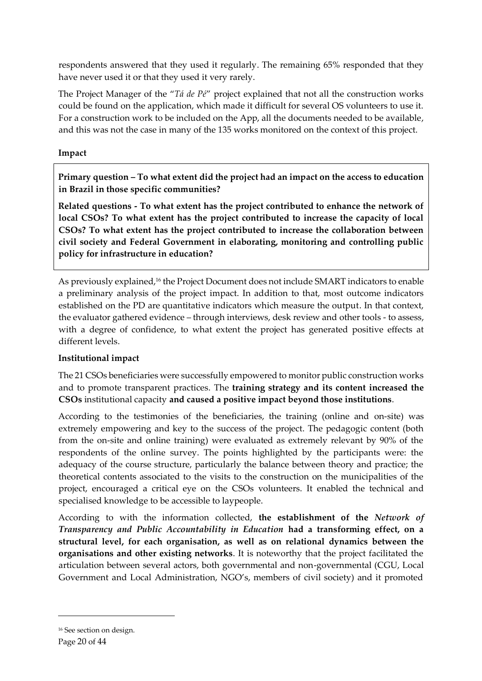respondents answered that they used it regularly. The remaining 65% responded that they have never used it or that they used it very rarely.

The Project Manager of the "*Tá de Pé*" project explained that not all the construction works could be found on the application, which made it difficult for several OS volunteers to use it. For a construction work to be included on the App, all the documents needed to be available, and this was not the case in many of the 135 works monitored on the context of this project.

### <span id="page-19-0"></span>**Impact**

**Primary question – To what extent did the project had an impact on the access to education in Brazil in those specific communities?**

**Related questions - To what extent has the project contributed to enhance the network of local CSOs? To what extent has the project contributed to increase the capacity of local CSOs? To what extent has the project contributed to increase the collaboration between civil society and Federal Government in elaborating, monitoring and controlling public policy for infrastructure in education?**

As previously explained, <sup>16</sup> the Project Document does not include SMART indicators to enable a preliminary analysis of the project impact. In addition to that, most outcome indicators established on the PD are quantitative indicators which measure the output. In that context, the evaluator gathered evidence – through interviews, desk review and other tools - to assess, with a degree of confidence, to what extent the project has generated positive effects at different levels.

## <span id="page-19-1"></span>**Institutional impact**

The 21 CSOs beneficiaries were successfully empowered to monitor public construction works and to promote transparent practices. The **training strategy and its content increased the CSOs** institutional capacity **and caused a positive impact beyond those institutions**.

According to the testimonies of the beneficiaries, the training (online and on-site) was extremely empowering and key to the success of the project. The pedagogic content (both from the on-site and online training) were evaluated as extremely relevant by 90% of the respondents of the online survey. The points highlighted by the participants were: the adequacy of the course structure, particularly the balance between theory and practice; the theoretical contents associated to the visits to the construction on the municipalities of the project, encouraged a critical eye on the CSOs volunteers. It enabled the technical and specialised knowledge to be accessible to laypeople.

According to with the information collected, **the establishment of the** *Network of Transparency and Public Accountability in Education* **had a transforming effect, on a structural level, for each organisation, as well as on relational dynamics between the organisations and other existing networks**. It is noteworthy that the project facilitated the articulation between several actors, both governmental and non-governmental (CGU, Local Government and Local Administration, NGO's, members of civil society) and it promoted

<sup>16</sup> See section on design.

Page 20 of 44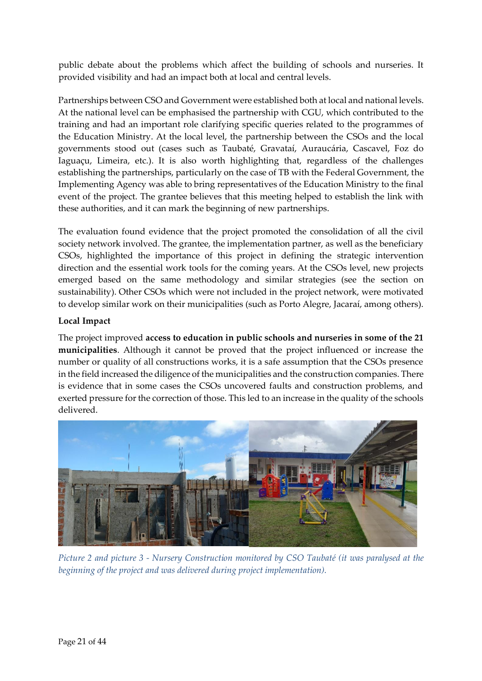public debate about the problems which affect the building of schools and nurseries. It provided visibility and had an impact both at local and central levels.

Partnerships between CSO and Government were established both at local and national levels. At the national level can be emphasised the partnership with CGU, which contributed to the training and had an important role clarifying specific queries related to the programmes of the Education Ministry. At the local level, the partnership between the CSOs and the local governments stood out (cases such as Taubaté, Gravataí, Auraucária, Cascavel, Foz do Iaguaçu, Limeira, etc.). It is also worth highlighting that, regardless of the challenges establishing the partnerships, particularly on the case of TB with the Federal Government, the Implementing Agency was able to bring representatives of the Education Ministry to the final event of the project. The grantee believes that this meeting helped to establish the link with these authorities, and it can mark the beginning of new partnerships.

The evaluation found evidence that the project promoted the consolidation of all the civil society network involved. The grantee, the implementation partner, as well as the beneficiary CSOs, highlighted the importance of this project in defining the strategic intervention direction and the essential work tools for the coming years. At the CSOs level, new projects emerged based on the same methodology and similar strategies (see the section on sustainability). Other CSOs which were not included in the project network, were motivated to develop similar work on their municipalities (such as Porto Alegre, Jacaraí, among others).

### <span id="page-20-0"></span>**Local Impact**

The project improved **access to education in public schools and nurseries in some of the 21 municipalities**. Although it cannot be proved that the project influenced or increase the number or quality of all constructions works, it is a safe assumption that the CSOs presence in the field increased the diligence of the municipalities and the construction companies. There is evidence that in some cases the CSOs uncovered faults and construction problems, and exerted pressure for the correction of those. This led to an increase in the quality of the schools delivered.



*Picture 2 and picture 3 - Nursery Construction monitored by CSO Taubaté (it was paralysed at the beginning of the project and was delivered during project implementation).*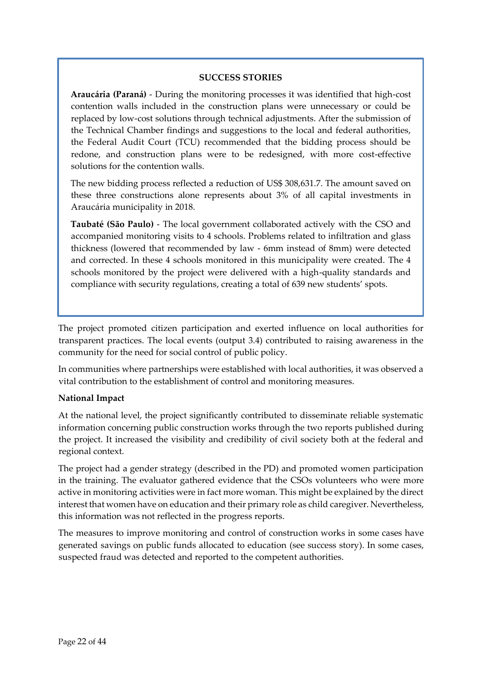#### **SUCCESS STORIES**

**Araucária (Paraná)** - During the monitoring processes it was identified that high-cost contention walls included in the construction plans were unnecessary or could be replaced by low-cost solutions through technical adjustments. After the submission of the Technical Chamber findings and suggestions to the local and federal authorities, the Federal Audit Court (TCU) recommended that the bidding process should be redone, and construction plans were to be redesigned, with more cost-effective solutions for the contention walls.

The new bidding process reflected a reduction of US\$ 308,631.7. The amount saved on these three constructions alone represents about 3% of all capital investments in Araucária municipality in 2018.

**Taubaté (São Paulo)** - The local government collaborated actively with the CSO and accompanied monitoring visits to 4 schools. Problems related to infiltration and glass thickness (lowered that recommended by law - 6mm instead of 8mm) were detected and corrected. In these 4 schools monitored in this municipality were created. The 4 schools monitored by the project were delivered with a high-quality standards and compliance with security regulations, creating a total of 639 new students' spots.

The project promoted citizen participation and exerted influence on local authorities for transparent practices. The local events (output 3.4) contributed to raising awareness in the community for the need for social control of public policy.

In communities where partnerships were established with local authorities, it was observed a vital contribution to the establishment of control and monitoring measures.

#### <span id="page-21-0"></span>**National Impact**

At the national level, the project significantly contributed to disseminate reliable systematic information concerning public construction works through the two reports published during the project. It increased the visibility and credibility of civil society both at the federal and regional context.

The project had a gender strategy (described in the PD) and promoted women participation in the training. The evaluator gathered evidence that the CSOs volunteers who were more active in monitoring activities were in fact more woman. This might be explained by the direct interest that women have on education and their primary role as child caregiver. Nevertheless, this information was not reflected in the progress reports.

The measures to improve monitoring and control of construction works in some cases have generated savings on public funds allocated to education (see success story). In some cases, suspected fraud was detected and reported to the competent authorities.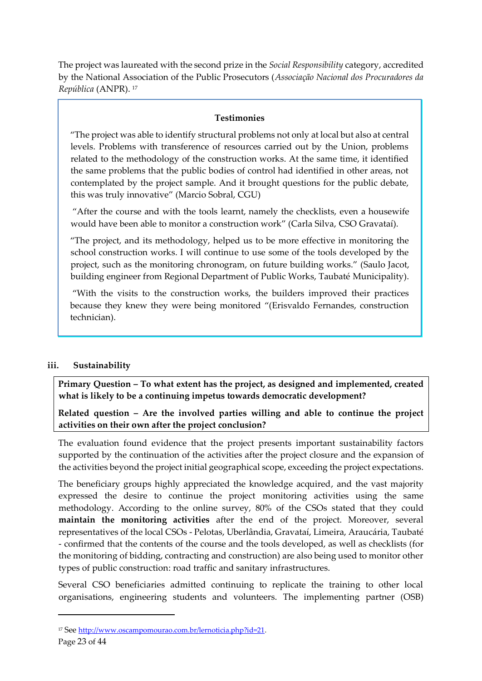The project was laureated with the second prize in the *Social Responsibility* category, accredited by the National Association of the Public Prosecutors (*Associação Nacional dos Procuradores da República* (ANPR). <sup>17</sup>

### **Testimonies**

"The project was able to identify structural problems not only at local but also at central levels. Problems with transference of resources carried out by the Union, problems related to the methodology of the construction works. At the same time, it identified the same problems that the public bodies of control had identified in other areas, not contemplated by the project sample. And it brought questions for the public debate, this was truly innovative" (Marcio Sobral, CGU)

"After the course and with the tools learnt, namely the checklists, even a housewife would have been able to monitor a construction work" (Carla Silva, CSO Gravataí).

"The project, and its methodology, helped us to be more effective in monitoring the school construction works. I will continue to use some of the tools developed by the project, such as the monitoring chronogram, on future building works." (Saulo Jacot, building engineer from Regional Department of Public Works, Taubaté Municipality).

"With the visits to the construction works, the builders improved their practices because they knew they were being monitored "(Erisvaldo Fernandes, construction technician).

## <span id="page-22-0"></span>**iii. Sustainability**

**Primary Question – To what extent has the project, as designed and implemented, created what is likely to be a continuing impetus towards democratic development?** 

**Related question – Are the involved parties willing and able to continue the project activities on their own after the project conclusion?**

The evaluation found evidence that the project presents important sustainability factors supported by the continuation of the activities after the project closure and the expansion of the activities beyond the project initial geographical scope, exceeding the project expectations.

The beneficiary groups highly appreciated the knowledge acquired, and the vast majority expressed the desire to continue the project monitoring activities using the same methodology. According to the online survey, 80% of the CSOs stated that they could **maintain the monitoring activities** after the end of the project. Moreover, several representatives of the local CSOs - Pelotas, Uberlândia, Gravataí, Limeira, Araucária, Taubaté - confirmed that the contents of the course and the tools developed, as well as checklists (for the monitoring of bidding, contracting and construction) are also being used to monitor other types of public construction: road traffic and sanitary infrastructures.

Several CSO beneficiaries admitted continuing to replicate the training to other local organisations, engineering students and volunteers. The implementing partner (OSB)

<sup>&</sup>lt;sup>17</sup> See [http://www.oscampomourao.com.br/lernoticia.php?id=21.](http://www.oscampomourao.com.br/lernoticia.php?id=21)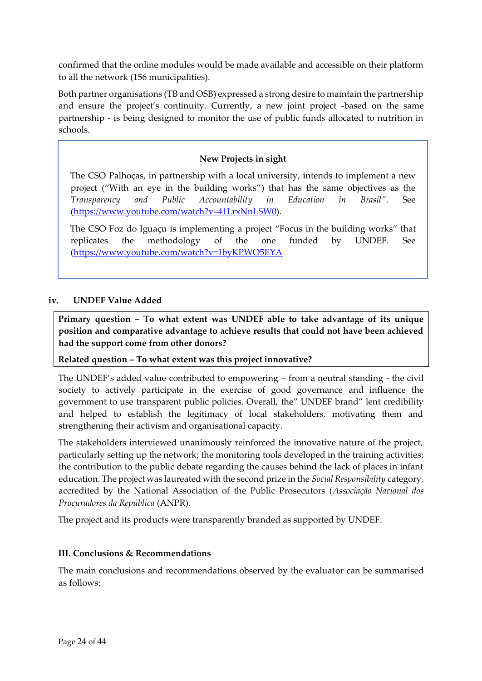confirmed that the online modules would be made available and accessible on their platform to all the network (156 municipalities).

Both partner organisations (TB and OSB) expressed a strong desire to maintain the partnership and ensure the project's continuity. Currently, a new joint project -based on the same partnership - is being designed to monitor the use of public funds allocated to nutrition in schools.

## **New Projects in sight**

The CSO Palhoças, in partnership with a local university, intends to implement a new project ("With an eye in the building works") that has the same objectives as the *Transparency and Public Accountability in Education in Brasil"*. See (https://www.youtube.com/watch?v=41LrxNnLSW0).

The CSO Foz do Iguaçu is implementing a project "Focus in the building works" that replicates the methodology of the one funded by UNDEF. See (https://www.youtube.com/watch?v=1byKPWO5EYA

#### <span id="page-23-0"></span>**iv. UNDEF Value Added**

**Primary question – To what extent was UNDEF able to take advantage of its unique position and comparative advantage to achieve results that could not have been achieved had the support come from other donors?** 

**Related question – To what extent was this project innovative?**

The UNDEF's added value contributed to empowering – from a neutral standing - the civil society to actively participate in the exercise of good governance and influence the government to use transparent public policies. Overall, the" UNDEF brand" lent credibility and helped to establish the legitimacy of local stakeholders, motivating them and strengthening their activism and organisational capacity.

The stakeholders interviewed unanimously reinforced the innovative nature of the project, particularly setting up the network; the monitoring tools developed in the training activities; the contribution to the public debate regarding the causes behind the lack of places in infant education. The project was laureated with the second prize in the *Social Responsibility* category, accredited by the National Association of the Public Prosecutors (*Associação Nacional dos Procuradores da República* (ANPR).

The project and its products were transparently branded as supported by UNDEF.

#### <span id="page-23-1"></span>**III. Conclusions & Recommendations**

The main conclusions and recommendations observed by the evaluator can be summarised as follows: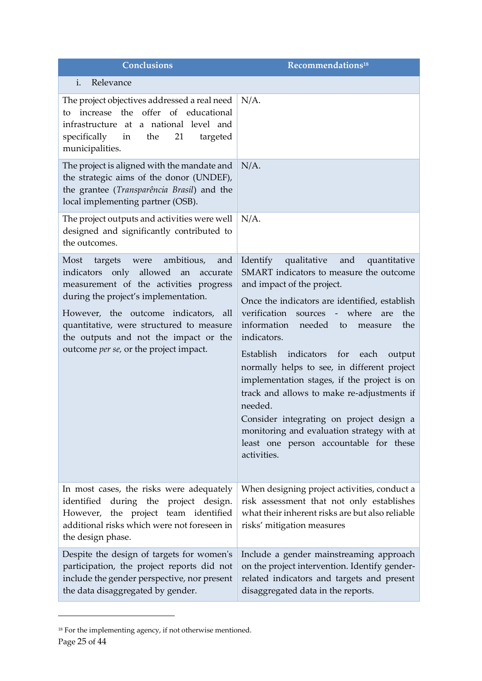<span id="page-24-0"></span>

| Conclusions                                                                                                                                                                                                                                                                                                                               | Recommendations <sup>18</sup>                                                                                                                                                                                                                                                                                                                                                                                                                                                                                                                                                                                                                                 |
|-------------------------------------------------------------------------------------------------------------------------------------------------------------------------------------------------------------------------------------------------------------------------------------------------------------------------------------------|---------------------------------------------------------------------------------------------------------------------------------------------------------------------------------------------------------------------------------------------------------------------------------------------------------------------------------------------------------------------------------------------------------------------------------------------------------------------------------------------------------------------------------------------------------------------------------------------------------------------------------------------------------------|
| i.<br>Relevance                                                                                                                                                                                                                                                                                                                           |                                                                                                                                                                                                                                                                                                                                                                                                                                                                                                                                                                                                                                                               |
| The project objectives addressed a real need<br>increase the offer of educational<br>to<br>infrastructure at a national level and<br>specifically<br>the<br>$\mathbf{in}$<br>21<br>targeted<br>municipalities.                                                                                                                            | $N/A$ .                                                                                                                                                                                                                                                                                                                                                                                                                                                                                                                                                                                                                                                       |
| The project is aligned with the mandate and<br>the strategic aims of the donor (UNDEF),<br>the grantee (Transparência Brasil) and the<br>local implementing partner (OSB).                                                                                                                                                                | $N/A$ .                                                                                                                                                                                                                                                                                                                                                                                                                                                                                                                                                                                                                                                       |
| The project outputs and activities were well<br>designed and significantly contributed to<br>the outcomes.                                                                                                                                                                                                                                | $N/A$ .                                                                                                                                                                                                                                                                                                                                                                                                                                                                                                                                                                                                                                                       |
| ambitious,<br>Most<br>targets were<br>and<br>indicators only allowed an accurate<br>measurement of the activities progress<br>during the project's implementation.<br>However, the outcome indicators, all<br>quantitative, were structured to measure<br>the outputs and not the impact or the<br>outcome per se, or the project impact. | Identify qualitative<br>and<br>quantitative<br>SMART indicators to measure the outcome<br>and impact of the project.<br>Once the indicators are identified, establish<br>verification<br>where<br>the<br>sources<br>$\omega_{\rm{max}}$<br>are<br>information needed to<br>the<br>measure<br>indicators.<br>Establish indicators for each<br>output<br>normally helps to see, in different project<br>implementation stages, if the project is on<br>track and allows to make re-adjustments if<br>needed.<br>Consider integrating on project design a<br>monitoring and evaluation strategy with at<br>least one person accountable for these<br>activities. |
| In most cases, the risks were adequately<br>identified during the project design.<br>However, the project team identified<br>additional risks which were not foreseen in<br>the design phase.                                                                                                                                             | When designing project activities, conduct a<br>risk assessment that not only establishes<br>what their inherent risks are but also reliable<br>risks' mitigation measures                                                                                                                                                                                                                                                                                                                                                                                                                                                                                    |
| Despite the design of targets for women's<br>participation, the project reports did not<br>include the gender perspective, nor present<br>the data disaggregated by gender.                                                                                                                                                               | Include a gender mainstreaming approach<br>on the project intervention. Identify gender-<br>related indicators and targets and present<br>disaggregated data in the reports.                                                                                                                                                                                                                                                                                                                                                                                                                                                                                  |

Page 25 of 44  $^{\rm 18}$  For the implementing agency, if not otherwise mentioned.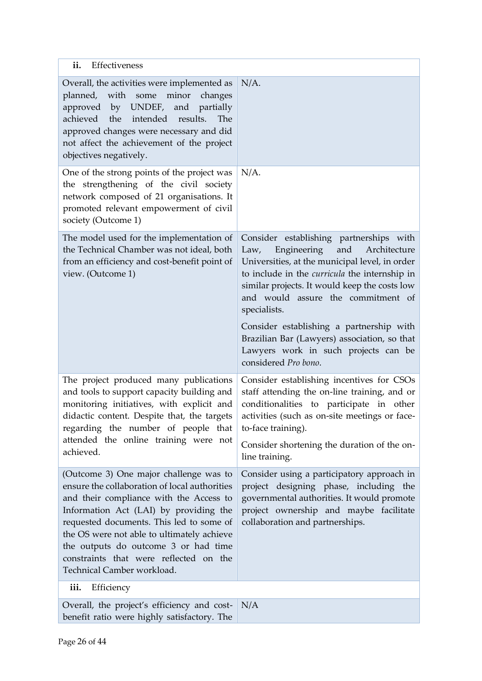<span id="page-25-1"></span><span id="page-25-0"></span>

| ii.<br>Effectiveness                                                                                                                                                                                                                                                                                                                                                                   |                                                                                                                                                                                                                                                                                                        |  |
|----------------------------------------------------------------------------------------------------------------------------------------------------------------------------------------------------------------------------------------------------------------------------------------------------------------------------------------------------------------------------------------|--------------------------------------------------------------------------------------------------------------------------------------------------------------------------------------------------------------------------------------------------------------------------------------------------------|--|
| Overall, the activities were implemented as<br>planned, with some minor<br>changes<br>approved by UNDEF, and partially<br>intended results.<br>achieved the<br>The<br>approved changes were necessary and did<br>not affect the achievement of the project<br>objectives negatively.                                                                                                   | $N/A$ .                                                                                                                                                                                                                                                                                                |  |
| One of the strong points of the project was<br>the strengthening of the civil society<br>network composed of 21 organisations. It<br>promoted relevant empowerment of civil<br>society (Outcome 1)                                                                                                                                                                                     | $N/A$ .                                                                                                                                                                                                                                                                                                |  |
| The model used for the implementation of<br>the Technical Chamber was not ideal, both<br>from an efficiency and cost-benefit point of<br>view. (Outcome 1)                                                                                                                                                                                                                             | Consider establishing partnerships with<br>and<br>Engineering<br>Architecture<br>Law,<br>Universities, at the municipal level, in order<br>to include in the <i>curricula</i> the internship in<br>similar projects. It would keep the costs low<br>and would assure the commitment of<br>specialists. |  |
|                                                                                                                                                                                                                                                                                                                                                                                        | Consider establishing a partnership with<br>Brazilian Bar (Lawyers) association, so that<br>Lawyers work in such projects can be<br>considered Pro bono.                                                                                                                                               |  |
| The project produced many publications<br>and tools to support capacity building and<br>monitoring initiatives, with explicit and<br>didactic content. Despite that, the targets<br>regarding the number of people that<br>attended the online training were not<br>achieved.                                                                                                          | Consider establishing incentives for CSOs<br>staff attending the on-line training, and or<br>conditionalities to participate in other<br>activities (such as on-site meetings or face-<br>to-face training).<br>Consider shortening the duration of the on-<br>line training.                          |  |
| (Outcome 3) One major challenge was to<br>ensure the collaboration of local authorities<br>and their compliance with the Access to<br>Information Act (LAI) by providing the<br>requested documents. This led to some of<br>the OS were not able to ultimately achieve<br>the outputs do outcome 3 or had time<br>constraints that were reflected on the<br>Technical Camber workload. | Consider using a participatory approach in<br>project designing phase, including the<br>governmental authorities. It would promote<br>project ownership and maybe facilitate<br>collaboration and partnerships.                                                                                        |  |
| iii.<br>Efficiency                                                                                                                                                                                                                                                                                                                                                                     |                                                                                                                                                                                                                                                                                                        |  |
| Overall, the project's efficiency and cost-<br>benefit ratio were highly satisfactory. The                                                                                                                                                                                                                                                                                             | N/A                                                                                                                                                                                                                                                                                                    |  |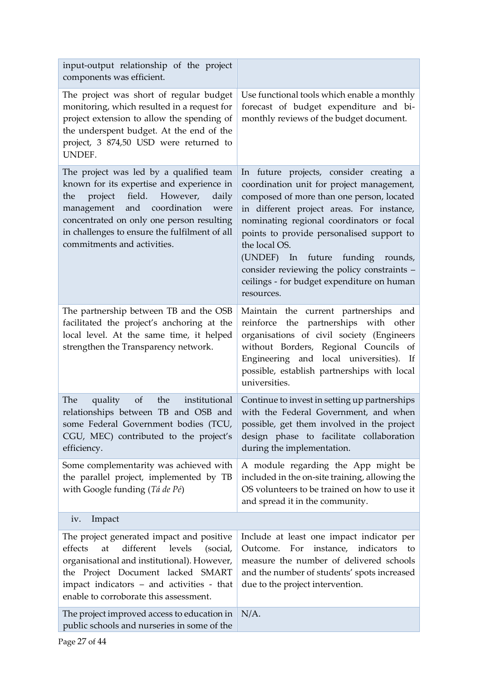<span id="page-26-0"></span>

| input-output relationship of the project<br>components was efficient.                                                                                                                                                                                                                                  |                                                                                                                                                                                                                                                                                                                                                                                                                                           |
|--------------------------------------------------------------------------------------------------------------------------------------------------------------------------------------------------------------------------------------------------------------------------------------------------------|-------------------------------------------------------------------------------------------------------------------------------------------------------------------------------------------------------------------------------------------------------------------------------------------------------------------------------------------------------------------------------------------------------------------------------------------|
| The project was short of regular budget<br>monitoring, which resulted in a request for<br>project extension to allow the spending of<br>the underspent budget. At the end of the<br>project, 3 874,50 USD were returned to<br>UNDEF.                                                                   | Use functional tools which enable a monthly<br>forecast of budget expenditure and bi-<br>monthly reviews of the budget document.                                                                                                                                                                                                                                                                                                          |
| The project was led by a qualified team<br>known for its expertise and experience in<br>field. However,<br>the<br>project<br>daily<br>management and coordination<br>were<br>concentrated on only one person resulting<br>in challenges to ensure the fulfilment of all<br>commitments and activities. | In future projects, consider creating a<br>coordination unit for project management,<br>composed of more than one person, located<br>in different project areas. For instance,<br>nominating regional coordinators or focal<br>points to provide personalised support to<br>the local OS.<br>(UNDEF) In future funding rounds,<br>consider reviewing the policy constraints -<br>ceilings - for budget expenditure on human<br>resources. |
| The partnership between TB and the OSB<br>facilitated the project's anchoring at the<br>local level. At the same time, it helped<br>strengthen the Transparency network.                                                                                                                               | Maintain the current partnerships and<br>reinforce the partnerships with other<br>organisations of civil society (Engineers<br>without Borders, Regional Councils of<br>Engineering and local universities). If<br>possible, establish partnerships with local<br>universities.                                                                                                                                                           |
| The<br>quality<br>the<br>institutional<br>of<br>relationships between TB and OSB and<br>some Federal Government bodies (TCU,<br>CGU, MEC) contributed to the project's<br>efficiency.                                                                                                                  | Continue to invest in setting up partnerships<br>with the Federal Government, and when<br>possible, get them involved in the project<br>design phase to facilitate collaboration<br>during the implementation.                                                                                                                                                                                                                            |
| Some complementarity was achieved with<br>the parallel project, implemented by TB<br>with Google funding (Tá de Pé)                                                                                                                                                                                    | A module regarding the App might be<br>included in the on-site training, allowing the<br>OS volunteers to be trained on how to use it<br>and spread it in the community.                                                                                                                                                                                                                                                                  |
| Impact<br>iv.                                                                                                                                                                                                                                                                                          |                                                                                                                                                                                                                                                                                                                                                                                                                                           |
| The project generated impact and positive<br>different<br>levels<br>effects<br>at<br>(social,<br>organisational and institutional). However,<br>the Project Document lacked SMART<br>impact indicators - and activities - that<br>enable to corroborate this assessment.                               | Include at least one impact indicator per<br>instance, indicators<br>Outcome.<br>For<br>to<br>measure the number of delivered schools<br>and the number of students' spots increased<br>due to the project intervention.                                                                                                                                                                                                                  |
| The project improved access to education in<br>public schools and nurseries in some of the                                                                                                                                                                                                             | $N/A$ .                                                                                                                                                                                                                                                                                                                                                                                                                                   |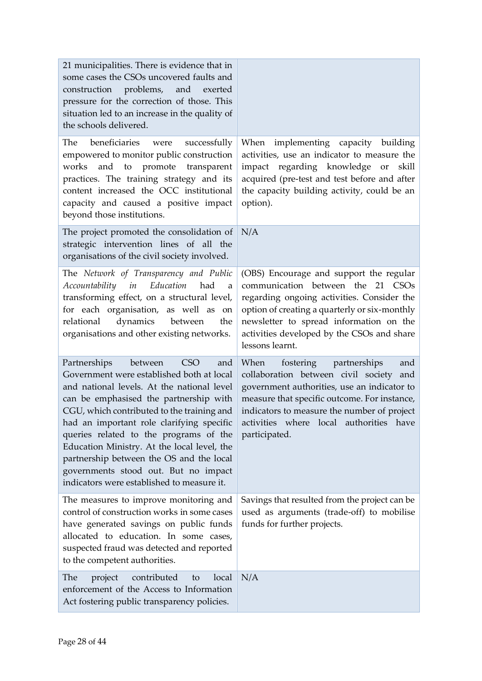| 21 municipalities. There is evidence that in<br>some cases the CSOs uncovered faults and<br>construction problems, and exerted<br>pressure for the correction of those. This<br>situation led to an increase in the quality of<br>the schools delivered.                                                                                                                                                                                                                                                |                                                                                                                                                                                                                                                                                                     |
|---------------------------------------------------------------------------------------------------------------------------------------------------------------------------------------------------------------------------------------------------------------------------------------------------------------------------------------------------------------------------------------------------------------------------------------------------------------------------------------------------------|-----------------------------------------------------------------------------------------------------------------------------------------------------------------------------------------------------------------------------------------------------------------------------------------------------|
| beneficiaries were<br>The<br>successfully<br>empowered to monitor public construction<br>works<br>and<br>to promote transparent<br>practices. The training strategy and its<br>content increased the OCC institutional<br>capacity and caused a positive impact<br>beyond those institutions.                                                                                                                                                                                                           | When implementing capacity building<br>activities, use an indicator to measure the<br>impact regarding knowledge or<br>skill<br>acquired (pre-test and test before and after<br>the capacity building activity, could be an<br>option).                                                             |
| The project promoted the consolidation of<br>strategic intervention lines of all the<br>organisations of the civil society involved.                                                                                                                                                                                                                                                                                                                                                                    | N/A                                                                                                                                                                                                                                                                                                 |
| The Network of Transparency and Public<br>Accountability in Education<br>had<br>a<br>transforming effect, on a structural level,<br>for each organisation, as well as<br>on<br>relational<br>dynamics<br>between<br>the<br>organisations and other existing networks.                                                                                                                                                                                                                                   | (OBS) Encourage and support the regular<br>communication between the 21 CSOs<br>regarding ongoing activities. Consider the<br>option of creating a quarterly or six-monthly<br>newsletter to spread information on the<br>activities developed by the CSOs and share<br>lessons learnt.             |
| between<br><b>CSO</b><br>Partnerships<br>and<br>Government were established both at local<br>and national levels. At the national level<br>can be emphasised the partnership with<br>CGU, which contributed to the training and<br>had an important role clarifying specific<br>queries related to the programs of the<br>Education Ministry. At the local level, the<br>partnership between the OS and the local<br>governments stood out. But no impact<br>indicators were established to measure it. | When<br>fostering partnerships<br>and<br>collaboration between civil society<br>and<br>government authorities, use an indicator to<br>measure that specific outcome. For instance,<br>indicators to measure the number of project<br>activities where local<br>authorities<br>have<br>participated. |
| The measures to improve monitoring and<br>control of construction works in some cases<br>have generated savings on public funds<br>allocated to education. In some cases,<br>suspected fraud was detected and reported<br>to the competent authorities.                                                                                                                                                                                                                                                 | Savings that resulted from the project can be<br>used as arguments (trade-off) to mobilise<br>funds for further projects.                                                                                                                                                                           |
| project<br>local<br>The<br>contributed<br>to<br>enforcement of the Access to Information<br>Act fostering public transparency policies.                                                                                                                                                                                                                                                                                                                                                                 | N/A                                                                                                                                                                                                                                                                                                 |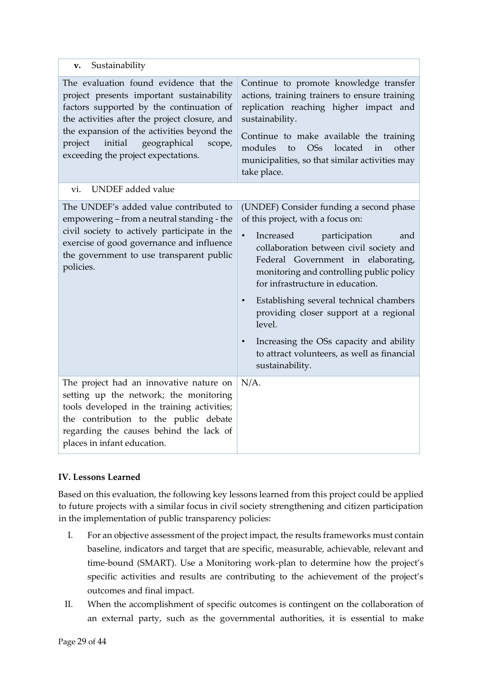<span id="page-28-1"></span><span id="page-28-0"></span>

| Sustainability<br>v.                                                                                                                                                                                                                                                                                                  |                                                                                                                                                                                                                                                                                                                                                                                                                                                                                                                                       |
|-----------------------------------------------------------------------------------------------------------------------------------------------------------------------------------------------------------------------------------------------------------------------------------------------------------------------|---------------------------------------------------------------------------------------------------------------------------------------------------------------------------------------------------------------------------------------------------------------------------------------------------------------------------------------------------------------------------------------------------------------------------------------------------------------------------------------------------------------------------------------|
| The evaluation found evidence that the<br>project presents important sustainability<br>factors supported by the continuation of<br>the activities after the project closure, and<br>the expansion of the activities beyond the<br>initial<br>geographical<br>project<br>scope,<br>exceeding the project expectations. | Continue to promote knowledge transfer<br>actions, training trainers to ensure training<br>replication reaching higher impact and<br>sustainability.<br>Continue to make available the training<br>modules<br>OSs<br>located<br>to<br>in<br>other<br>municipalities, so that similar activities may<br>take place.                                                                                                                                                                                                                    |
| <b>UNDEF</b> added value<br>vi.                                                                                                                                                                                                                                                                                       |                                                                                                                                                                                                                                                                                                                                                                                                                                                                                                                                       |
| The UNDEF's added value contributed to<br>empowering - from a neutral standing - the<br>civil society to actively participate in the<br>exercise of good governance and influence<br>the government to use transparent public<br>policies.                                                                            | (UNDEF) Consider funding a second phase<br>of this project, with a focus on:<br>$\bullet$<br>participation<br>Increased<br>and<br>collaboration between civil society and<br>Federal Government in elaborating,<br>monitoring and controlling public policy<br>for infrastructure in education.<br>Establishing several technical chambers<br>$\bullet$<br>providing closer support at a regional<br>level.<br>Increasing the OSs capacity and ability<br>$\bullet$<br>to attract volunteers, as well as financial<br>sustainability. |
| The project had an innovative nature on<br>setting up the network; the monitoring<br>tools developed in the training activities;<br>the contribution to the public debate<br>regarding the causes behind the lack of<br>places in infant education.                                                                   | $N/A$ .                                                                                                                                                                                                                                                                                                                                                                                                                                                                                                                               |

## <span id="page-28-2"></span>**IV. Lessons Learned**

Based on this evaluation, the following key lessons learned from this project could be applied to future projects with a similar focus in civil society strengthening and citizen participation in the implementation of public transparency policies:

- I. For an objective assessment of the project impact, the results frameworks must contain baseline, indicators and target that are specific, measurable, achievable, relevant and time-bound (SMART). Use a Monitoring work-plan to determine how the project's specific activities and results are contributing to the achievement of the project's outcomes and final impact.
- II. When the accomplishment of specific outcomes is contingent on the collaboration of an external party, such as the governmental authorities, it is essential to make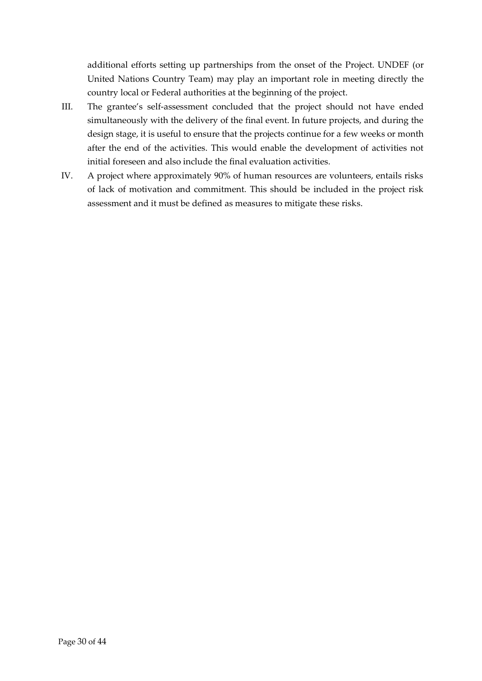additional efforts setting up partnerships from the onset of the Project. UNDEF (or United Nations Country Team) may play an important role in meeting directly the country local or Federal authorities at the beginning of the project.

- III. The grantee's self-assessment concluded that the project should not have ended simultaneously with the delivery of the final event. In future projects, and during the design stage, it is useful to ensure that the projects continue for a few weeks or month after the end of the activities. This would enable the development of activities not initial foreseen and also include the final evaluation activities.
- IV. A project where approximately 90% of human resources are volunteers, entails risks of lack of motivation and commitment. This should be included in the project risk assessment and it must be defined as measures to mitigate these risks.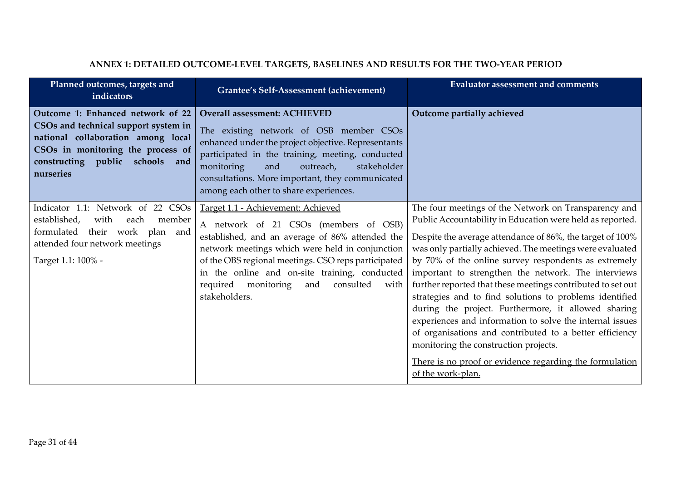<span id="page-30-0"></span>

| Planned outcomes, targets and<br>indicators                                                                                                                                                          | Grantee's Self-Assessment (achievement)                                                                                                                                                                                                                                                                                                                       | <b>Evaluator assessment and comments</b>                                                                                                                                                                                                                                                                                                                                                                                                                                                                                                                                                                                                                                                                                                                                                   |
|------------------------------------------------------------------------------------------------------------------------------------------------------------------------------------------------------|---------------------------------------------------------------------------------------------------------------------------------------------------------------------------------------------------------------------------------------------------------------------------------------------------------------------------------------------------------------|--------------------------------------------------------------------------------------------------------------------------------------------------------------------------------------------------------------------------------------------------------------------------------------------------------------------------------------------------------------------------------------------------------------------------------------------------------------------------------------------------------------------------------------------------------------------------------------------------------------------------------------------------------------------------------------------------------------------------------------------------------------------------------------------|
| Outcome 1: Enhanced network of 22<br>CSOs and technical support system in<br>national collaboration among local<br>CSOs in monitoring the process of<br>constructing public schools and<br>nurseries | <b>Overall assessment: ACHIEVED</b><br>The existing network of OSB member CSOs<br>enhanced under the project objective. Representants<br>participated in the training, meeting, conducted<br>stakeholder<br>monitoring<br>and<br>outreach,<br>consultations. More important, they communicated<br>among each other to share experiences.                      | Outcome partially achieved                                                                                                                                                                                                                                                                                                                                                                                                                                                                                                                                                                                                                                                                                                                                                                 |
| Indicator 1.1: Network of 22 CSOs<br>established,<br>with<br>member<br>each<br>formulated<br>their work plan and<br>attended four network meetings<br>Target 1.1: 100% -                             | Target 1.1 - Achievement: Achieved<br>A network of 21 CSOs (members of OSB)<br>established, and an average of 86% attended the<br>network meetings which were held in conjunction<br>of the OBS regional meetings. CSO reps participated<br>in the online and on-site training, conducted<br>required monitoring<br>and<br>consulted<br>with<br>stakeholders. | The four meetings of the Network on Transparency and<br>Public Accountability in Education were held as reported.<br>Despite the average attendance of 86%, the target of 100%<br>was only partially achieved. The meetings were evaluated<br>by 70% of the online survey respondents as extremely<br>important to strengthen the network. The interviews<br>further reported that these meetings contributed to set out<br>strategies and to find solutions to problems identified<br>during the project. Furthermore, it allowed sharing<br>experiences and information to solve the internal issues<br>of organisations and contributed to a better efficiency<br>monitoring the construction projects.<br>There is no proof or evidence regarding the formulation<br>of the work-plan. |

## **ANNEX 1: DETAILED OUTCOME-LEVEL TARGETS, BASELINES AND RESULTS FOR THE TWO-YEAR PERIOD**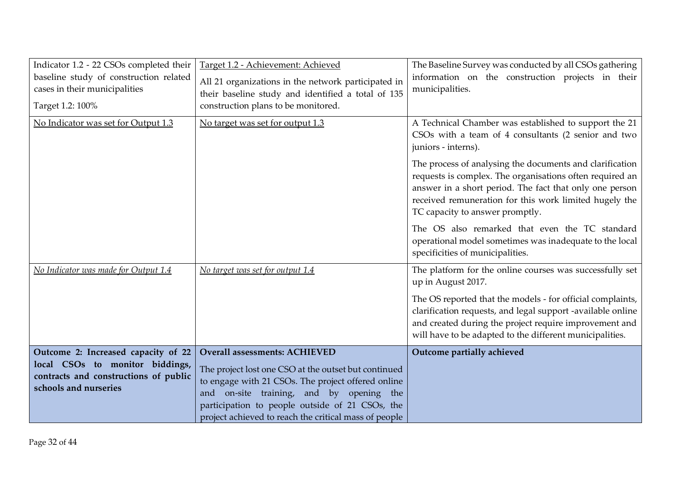| Indicator 1.2 - 22 CSOs completed their<br>baseline study of construction related<br>cases in their municipalities<br>Target 1.2: 100% | Target 1.2 - Achievement: Achieved<br>All 21 organizations in the network participated in<br>their baseline study and identified a total of 135<br>construction plans to be monitored. | The Baseline Survey was conducted by all CSOs gathering<br>information on the construction projects in their<br>municipalities.                                                                                                                                              |
|----------------------------------------------------------------------------------------------------------------------------------------|----------------------------------------------------------------------------------------------------------------------------------------------------------------------------------------|------------------------------------------------------------------------------------------------------------------------------------------------------------------------------------------------------------------------------------------------------------------------------|
| No Indicator was set for Output 1.3                                                                                                    | No target was set for output 1.3                                                                                                                                                       | A Technical Chamber was established to support the 21<br>CSOs with a team of 4 consultants (2 senior and two<br>juniors - interns).                                                                                                                                          |
|                                                                                                                                        |                                                                                                                                                                                        | The process of analysing the documents and clarification<br>requests is complex. The organisations often required an<br>answer in a short period. The fact that only one person<br>received remuneration for this work limited hugely the<br>TC capacity to answer promptly. |
|                                                                                                                                        |                                                                                                                                                                                        | The OS also remarked that even the TC standard<br>operational model sometimes was inadequate to the local<br>specificities of municipalities.                                                                                                                                |
| No Indicator was made for Output 1.4                                                                                                   | No target was set for output 1.4                                                                                                                                                       | The platform for the online courses was successfully set<br>up in August 2017.                                                                                                                                                                                               |
|                                                                                                                                        |                                                                                                                                                                                        | The OS reported that the models - for official complaints,<br>clarification requests, and legal support -available online<br>and created during the project require improvement and<br>will have to be adapted to the different municipalities.                              |
| Outcome 2: Increased capacity of 22<br>local CSOs to monitor biddings,                                                                 | <b>Overall assessments: ACHIEVED</b>                                                                                                                                                   | Outcome partially achieved                                                                                                                                                                                                                                                   |
| contracts and constructions of public                                                                                                  | The project lost one CSO at the outset but continued<br>to engage with 21 CSOs. The project offered online                                                                             |                                                                                                                                                                                                                                                                              |
| schools and nurseries                                                                                                                  | and on-site training, and by opening the                                                                                                                                               |                                                                                                                                                                                                                                                                              |
|                                                                                                                                        | participation to people outside of 21 CSOs, the<br>project achieved to reach the critical mass of people                                                                               |                                                                                                                                                                                                                                                                              |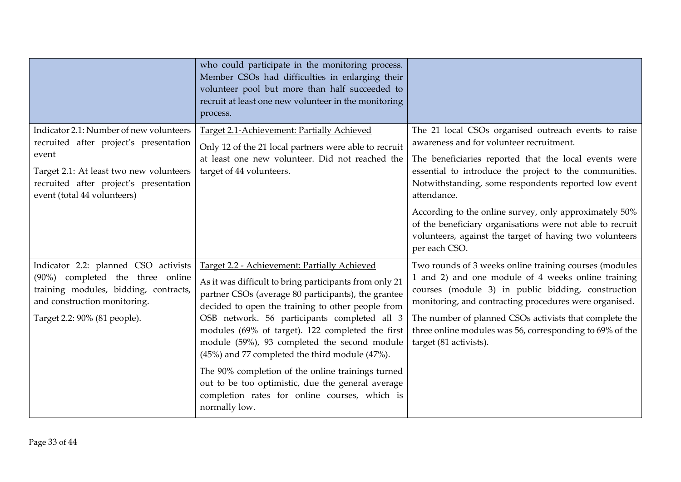|                                                                                                                                                                                                                | who could participate in the monitoring process.<br>Member CSOs had difficulties in enlarging their<br>volunteer pool but more than half succeeded to<br>recruit at least one new volunteer in the monitoring<br>process.                                                                                                                                                                                                                                                                                                                                                                            |                                                                                                                                                                                                                                                                                                                                                                                                                                                                                               |
|----------------------------------------------------------------------------------------------------------------------------------------------------------------------------------------------------------------|------------------------------------------------------------------------------------------------------------------------------------------------------------------------------------------------------------------------------------------------------------------------------------------------------------------------------------------------------------------------------------------------------------------------------------------------------------------------------------------------------------------------------------------------------------------------------------------------------|-----------------------------------------------------------------------------------------------------------------------------------------------------------------------------------------------------------------------------------------------------------------------------------------------------------------------------------------------------------------------------------------------------------------------------------------------------------------------------------------------|
| Indicator 2.1: Number of new volunteers<br>recruited after project's presentation<br>event<br>Target 2.1: At least two new volunteers<br>recruited after project's presentation<br>event (total 44 volunteers) | Target 2.1-Achievement: Partially Achieved<br>Only 12 of the 21 local partners were able to recruit<br>at least one new volunteer. Did not reached the<br>target of 44 volunteers.                                                                                                                                                                                                                                                                                                                                                                                                                   | The 21 local CSOs organised outreach events to raise<br>awareness and for volunteer recruitment.<br>The beneficiaries reported that the local events were<br>essential to introduce the project to the communities.<br>Notwithstanding, some respondents reported low event<br>attendance.<br>According to the online survey, only approximately 50%<br>of the beneficiary organisations were not able to recruit<br>volunteers, against the target of having two volunteers<br>per each CSO. |
| Indicator 2.2: planned CSO activists<br>(90%) completed the three online<br>training modules, bidding, contracts,<br>and construction monitoring.<br>Target 2.2: 90% (81 people).                              | Target 2.2 - Achievement: Partially Achieved<br>As it was difficult to bring participants from only 21<br>partner CSOs (average 80 participants), the grantee<br>decided to open the training to other people from<br>OSB network. 56 participants completed all 3<br>modules (69% of target). 122 completed the first<br>module (59%), 93 completed the second module<br>(45%) and 77 completed the third module (47%).<br>The 90% completion of the online trainings turned<br>out to be too optimistic, due the general average<br>completion rates for online courses, which is<br>normally low. | Two rounds of 3 weeks online training courses (modules<br>1 and 2) and one module of 4 weeks online training<br>courses (module 3) in public bidding, construction<br>monitoring, and contracting procedures were organised.<br>The number of planned CSOs activists that complete the<br>three online modules was 56, corresponding to 69% of the<br>target (81 activists).                                                                                                                  |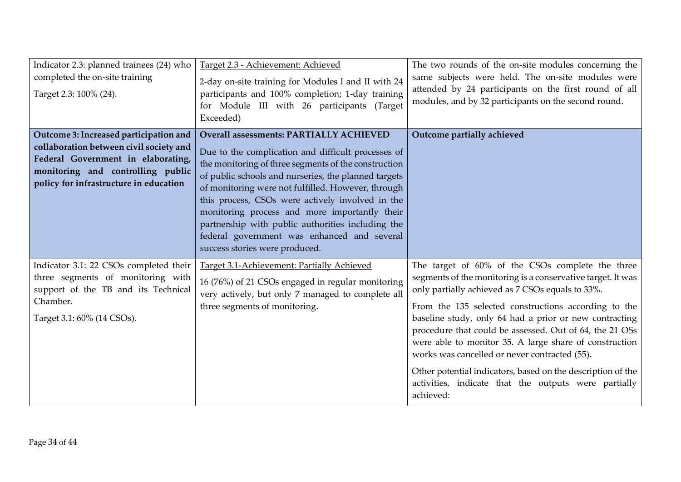| Indicator 2.3: planned trainees (24) who<br>completed the on-site training<br>Target 2.3: 100% (24).                                                                                                   | Target 2.3 - Achievement: Achieved<br>2-day on-site training for Modules I and II with 24<br>participants and 100% completion; 1-day training<br>for Module III with 26 participants (Target<br>Exceeded)                                                                                                                                                                                                                                                                                                             | The two rounds of the on-site modules concerning the<br>same subjects were held. The on-site modules were<br>attended by 24 participants on the first round of all<br>modules, and by 32 participants on the second round.                                                                                                                                                                                                                                                                                                                                                                      |
|--------------------------------------------------------------------------------------------------------------------------------------------------------------------------------------------------------|-----------------------------------------------------------------------------------------------------------------------------------------------------------------------------------------------------------------------------------------------------------------------------------------------------------------------------------------------------------------------------------------------------------------------------------------------------------------------------------------------------------------------|-------------------------------------------------------------------------------------------------------------------------------------------------------------------------------------------------------------------------------------------------------------------------------------------------------------------------------------------------------------------------------------------------------------------------------------------------------------------------------------------------------------------------------------------------------------------------------------------------|
| Outcome 3: Increased participation and<br>collaboration between civil society and<br>Federal Government in elaborating,<br>monitoring and controlling public<br>policy for infrastructure in education | <b>Overall assessments: PARTIALLY ACHIEVED</b><br>Due to the complication and difficult processes of<br>the monitoring of three segments of the construction<br>of public schools and nurseries, the planned targets<br>of monitoring were not fulfilled. However, through<br>this process, CSOs were actively involved in the<br>monitoring process and more importantly their<br>partnership with public authorities including the<br>federal government was enhanced and several<br>success stories were produced. | Outcome partially achieved                                                                                                                                                                                                                                                                                                                                                                                                                                                                                                                                                                      |
| Indicator 3.1: 22 CSOs completed their<br>three segments of monitoring with<br>support of the TB and its Technical<br>Chamber.<br>Target 3.1: 60% (14 CSOs).                                           | Target 3.1-Achievement: Partially Achieved<br>16 (76%) of 21 CSOs engaged in regular monitoring<br>very actively, but only 7 managed to complete all<br>three segments of monitoring.                                                                                                                                                                                                                                                                                                                                 | The target of 60% of the CSOs complete the three<br>segments of the monitoring is a conservative target. It was<br>only partially achieved as 7 CSOs equals to 33%.<br>From the 135 selected constructions according to the<br>baseline study, only 64 had a prior or new contracting<br>procedure that could be assessed. Out of 64, the 21 OSs<br>were able to monitor 35. A large share of construction<br>works was cancelled or never contracted (55).<br>Other potential indicators, based on the description of the<br>activities, indicate that the outputs were partially<br>achieved: |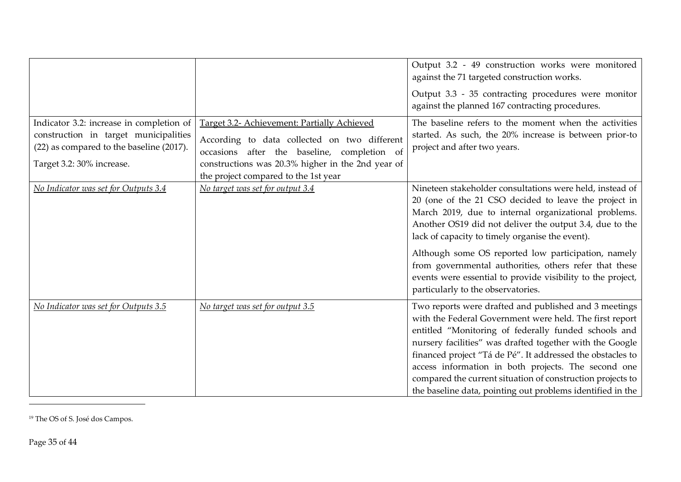|                                                                                                                                                            |                                                                                                                                                                                                                                         | Output 3.2 - 49 construction works were monitored<br>against the 71 targeted construction works.                                                                                                                                                                                                                                                                                                                                                                                                              |
|------------------------------------------------------------------------------------------------------------------------------------------------------------|-----------------------------------------------------------------------------------------------------------------------------------------------------------------------------------------------------------------------------------------|---------------------------------------------------------------------------------------------------------------------------------------------------------------------------------------------------------------------------------------------------------------------------------------------------------------------------------------------------------------------------------------------------------------------------------------------------------------------------------------------------------------|
|                                                                                                                                                            |                                                                                                                                                                                                                                         | Output 3.3 - 35 contracting procedures were monitor<br>against the planned 167 contracting procedures.                                                                                                                                                                                                                                                                                                                                                                                                        |
| Indicator 3.2: increase in completion of<br>construction in target municipalities<br>(22) as compared to the baseline (2017).<br>Target 3.2: 30% increase. | Target 3.2- Achievement: Partially Achieved<br>According to data collected on two different<br>occasions after the baseline, completion of<br>constructions was 20.3% higher in the 2nd year of<br>the project compared to the 1st year | The baseline refers to the moment when the activities<br>started. As such, the 20% increase is between prior-to<br>project and after two years.                                                                                                                                                                                                                                                                                                                                                               |
| No Indicator was set for Outputs 3.4                                                                                                                       | No target was set for output 3.4                                                                                                                                                                                                        | Nineteen stakeholder consultations were held, instead of<br>20 (one of the 21 CSO decided to leave the project in<br>March 2019, due to internal organizational problems.<br>Another OS19 did not deliver the output 3.4, due to the<br>lack of capacity to timely organise the event).<br>Although some OS reported low participation, namely<br>from governmental authorities, others refer that these<br>events were essential to provide visibility to the project,<br>particularly to the observatories. |
| No Indicator was set for Outputs 3.5                                                                                                                       | No target was set for output 3.5                                                                                                                                                                                                        | Two reports were drafted and published and 3 meetings<br>with the Federal Government were held. The first report<br>entitled "Monitoring of federally funded schools and<br>nursery facilities" was drafted together with the Google<br>financed project "Tá de Pé". It addressed the obstacles to<br>access information in both projects. The second one<br>compared the current situation of construction projects to<br>the baseline data, pointing out problems identified in the                         |

<sup>19</sup> The OS of S. José dos Campos.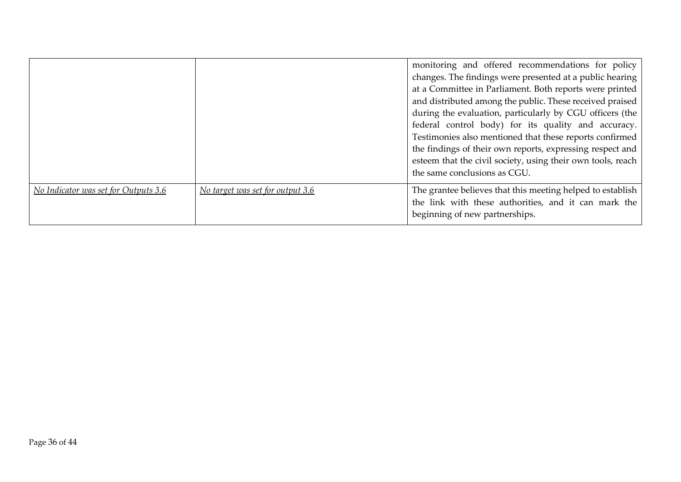|                                      |                                  | monitoring and offered recommendations for policy<br>changes. The findings were presented at a public hearing<br>at a Committee in Parliament. Both reports were printed<br>and distributed among the public. These received praised<br>during the evaluation, particularly by CGU officers (the<br>federal control body) for its quality and accuracy.<br>Testimonies also mentioned that these reports confirmed<br>the findings of their own reports, expressing respect and<br>esteem that the civil society, using their own tools, reach<br>the same conclusions as CGU. |
|--------------------------------------|----------------------------------|--------------------------------------------------------------------------------------------------------------------------------------------------------------------------------------------------------------------------------------------------------------------------------------------------------------------------------------------------------------------------------------------------------------------------------------------------------------------------------------------------------------------------------------------------------------------------------|
| No Indicator was set for Outputs 3.6 | No target was set for output 3.6 | The grantee believes that this meeting helped to establish<br>the link with these authorities, and it can mark the<br>beginning of new partnerships.                                                                                                                                                                                                                                                                                                                                                                                                                           |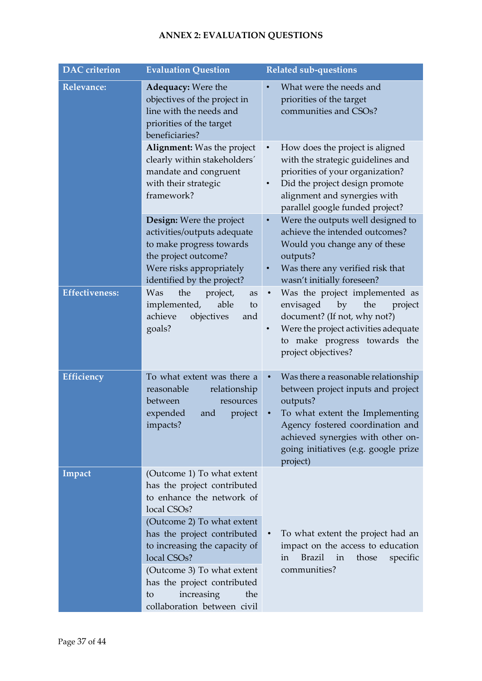## **ANNEX 2: EVALUATION QUESTIONS**

<span id="page-36-0"></span>

| <b>DAC</b> criterion  | <b>Evaluation Question</b>                                                                                                                                                                                                                                                                                                                                          | <b>Related sub-questions</b>                                                                                                                                                                                                                          |
|-----------------------|---------------------------------------------------------------------------------------------------------------------------------------------------------------------------------------------------------------------------------------------------------------------------------------------------------------------------------------------------------------------|-------------------------------------------------------------------------------------------------------------------------------------------------------------------------------------------------------------------------------------------------------|
| <b>Relevance:</b>     | <b>Adequacy:</b> Were the<br>objectives of the project in<br>line with the needs and<br>priorities of the target<br>beneficiaries?                                                                                                                                                                                                                                  | What were the needs and<br>priorities of the target<br>communities and CSOs?                                                                                                                                                                          |
|                       | <b>Alignment:</b> Was the project<br>clearly within stakeholders'<br>mandate and congruent<br>with their strategic<br>framework?                                                                                                                                                                                                                                    | How does the project is aligned<br>$\bullet$<br>with the strategic guidelines and<br>priorities of your organization?<br>Did the project design promote<br>alignment and synergies with<br>parallel google funded project?                            |
|                       | <b>Design:</b> Were the project<br>activities/outputs adequate<br>to make progress towards<br>the project outcome?<br>Were risks appropriately<br>identified by the project?                                                                                                                                                                                        | Were the outputs well designed to<br>$\bullet$<br>achieve the intended outcomes?<br>Would you change any of these<br>outputs?<br>Was there any verified risk that<br>wasn't initially foreseen?                                                       |
| <b>Effectiveness:</b> | the<br>project,<br>Was<br>as<br>able<br>implemented,<br>to<br>achieve<br>objectives<br>and<br>goals?                                                                                                                                                                                                                                                                | Was the project implemented as<br>the<br>envisaged<br>by<br>project<br>document? (If not, why not?)<br>Were the project activities adequate<br>to make progress towards the<br>project objectives?                                                    |
| Efficiency            | To what extent was there a<br>reasonable<br>relationship<br>between<br>resources<br>expended<br>and<br>project<br>impacts?                                                                                                                                                                                                                                          | Was there a reasonable relationship<br>between project inputs and project<br>outputs?<br>To what extent the Implementing<br>Agency fostered coordination and<br>achieved synergies with other on-<br>going initiatives (e.g. google prize<br>project) |
| Impact                | (Outcome 1) To what extent<br>has the project contributed<br>to enhance the network of<br>local CSO <sub>s</sub> ?<br>(Outcome 2) To what extent<br>has the project contributed<br>to increasing the capacity of<br>local CSO <sub>s</sub> ?<br>(Outcome 3) To what extent<br>has the project contributed<br>increasing<br>the<br>to<br>collaboration between civil | To what extent the project had an<br>impact on the access to education<br><b>Brazil</b><br>in<br>those<br>specific<br>in<br>communities?                                                                                                              |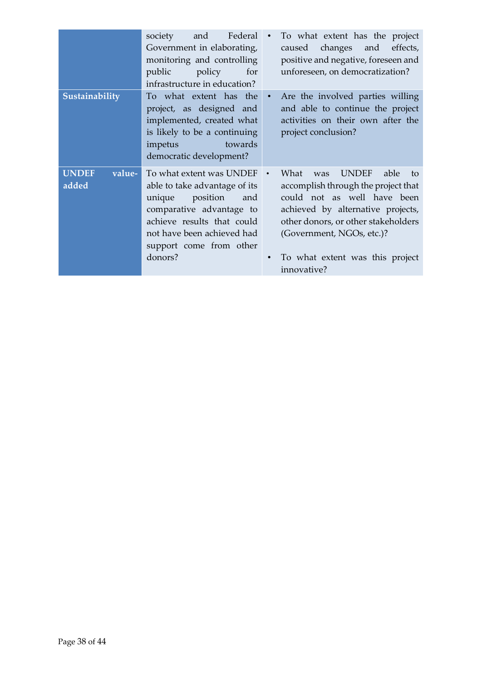|                                 | Federal<br>society<br>and<br>Government in elaborating,<br>monitoring and controlling<br>public<br>policy<br>for<br>infrastructure in education?                                                                     | $\bullet$ | To what extent has the project<br>and<br>caused<br>changes<br>effects,<br>positive and negative, foreseen and<br>unforeseen, on democratization?                                                                                                                           |
|---------------------------------|----------------------------------------------------------------------------------------------------------------------------------------------------------------------------------------------------------------------|-----------|----------------------------------------------------------------------------------------------------------------------------------------------------------------------------------------------------------------------------------------------------------------------------|
| Sustainability                  | To what extent has the<br>project, as designed and<br>implemented, created what<br>is likely to be a continuing<br>towards<br>impetus<br>democratic development?                                                     | $\bullet$ | Are the involved parties willing<br>and able to continue the project<br>activities on their own after the<br>project conclusion?                                                                                                                                           |
| <b>UNDEF</b><br>value-<br>added | To what extent was UNDEF<br>able to take advantage of its<br>position<br>unique<br>and<br>comparative advantage to<br>achieve results that could<br>not have been achieved had<br>support come from other<br>donors? |           | <b>UNDEF</b><br>What<br>able<br>was<br>to<br>accomplish through the project that<br>could not as well have been<br>achieved by alternative projects,<br>other donors, or other stakeholders<br>(Government, NGOs, etc.)?<br>To what extent was this project<br>innovative? |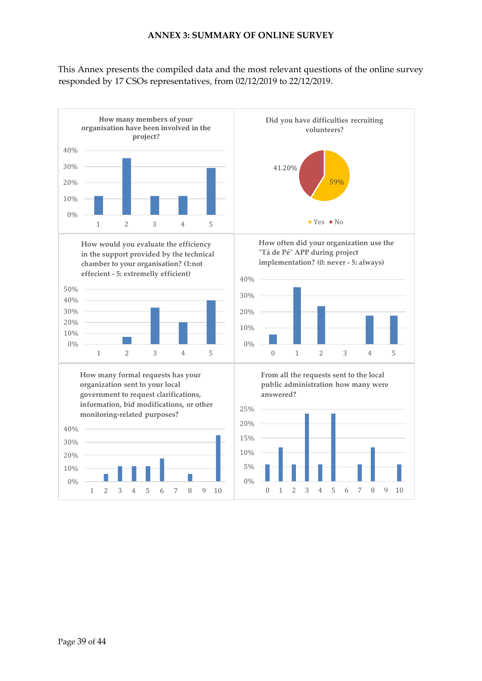#### **ANNEX 3: SUMMARY OF ONLINE SURVEY**

<span id="page-38-0"></span>This Annex presents the compiled data and the most relevant questions of the online survey responded by 17 CSOs representatives, from 02/12/2019 to 22/12/2019.

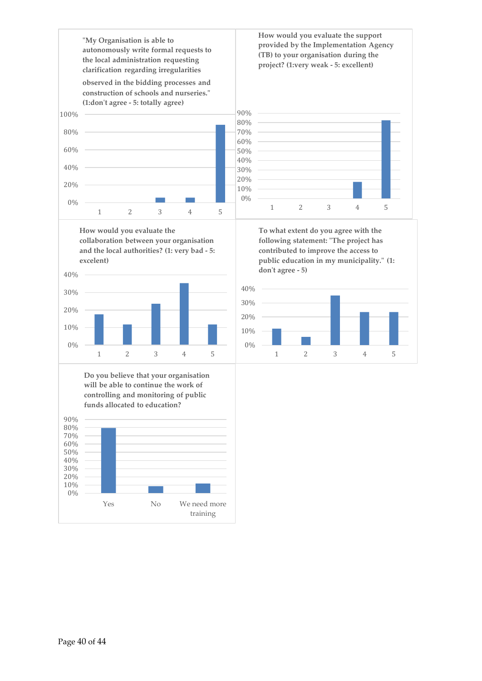

**collaboration between your organisation and the local authorities? (1: very bad - 5: excelent)**



**Do you believe that your organisation will be able to continue the work of controlling and monitoring of public funds allocated to education?**



**How would you evaluate the support provided by the Implementation Agency (TB) to your organisation during the project? (1:very weak - 5: excellent)**



**To what extent do you agree with the following statement: "The project has contributed to improve the access to public education in my municipality." (1: don't agree - 5)**

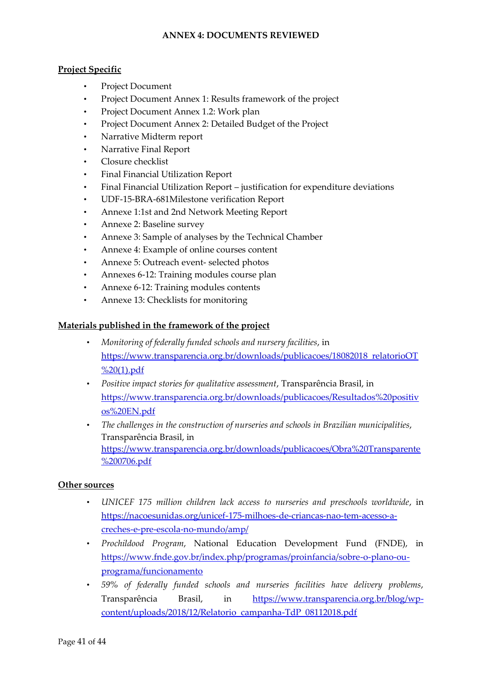### **ANNEX 4: DOCUMENTS REVIEWED**

### <span id="page-40-0"></span>**Project Specific**

- Project Document
- Project Document Annex 1: Results framework of the project
- Project Document Annex 1.2: Work plan
- Project Document Annex 2: Detailed Budget of the Project
- Narrative Midterm report
- Narrative Final Report
- Closure checklist
- Final Financial Utilization Report
- Final Financial Utilization Report justification for expenditure deviations
- UDF-15-BRA-681Milestone verification Report
- Annexe 1:1st and 2nd Network Meeting Report
- Annexe 2: Baseline survey
- Annexe 3: Sample of analyses by the Technical Chamber
- Annexe 4: Example of online courses content
- Annexe 5: Outreach event- selected photos
- Annexes 6-12: Training modules course plan
- Annexe 6-12: Training modules contents
- Annexe 13: Checklists for monitoring

#### **Materials published in the framework of the project**

- *Monitoring of federally funded schools and nursery facilities*, in [https://www.transparencia.org.br/downloads/publicacoes/18082018\\_relatorioOT](https://www.transparencia.org.br/downloads/publicacoes/18082018_relatorioOT%20(1).pdf) [%20\(1\).pdf](https://www.transparencia.org.br/downloads/publicacoes/18082018_relatorioOT%20(1).pdf)
- *Positive impact stories for qualitative assessment*, Transparência Brasil, in [https://www.transparencia.org.br/downloads/publicacoes/Resultados%20positiv](https://www.transparencia.org.br/downloads/publicacoes/Resultados%20positivos%20EN.pdf) [os%20EN.pdf](https://www.transparencia.org.br/downloads/publicacoes/Resultados%20positivos%20EN.pdf)
- *The challenges in the construction of nurseries and schools in Brazilian municipalities*, Transparência Brasil, in [https://www.transparencia.org.br/downloads/publicacoes/Obra%20Transparente](https://www.transparencia.org.br/downloads/publicacoes/Obra%20Transparente%200706.pdf) [%200706.pdf](https://www.transparencia.org.br/downloads/publicacoes/Obra%20Transparente%200706.pdf)

#### **Other sources**

- *UNICEF 175 million children lack access to nurseries and preschools worldwide*, in [https://nacoesunidas.org/unicef-175-milhoes-de-criancas-nao-tem-acesso-a](https://nacoesunidas.org/unicef-175-milhoes-de-criancas-nao-tem-acesso-a-creches-e-pre-escola-no-mundo/amp/)[creches-e-pre-escola-no-mundo/amp/](https://nacoesunidas.org/unicef-175-milhoes-de-criancas-nao-tem-acesso-a-creches-e-pre-escola-no-mundo/amp/)
- *Prochildood Program*, National Education Development Fund (FNDE), in [https://www.fnde.gov.br/index.php/programas/proinfancia/sobre-o-plano-ou](https://www.fnde.gov.br/index.php/programas/proinfancia/sobre-o-plano-ou-programa/funcionamento)[programa/funcionamento](https://www.fnde.gov.br/index.php/programas/proinfancia/sobre-o-plano-ou-programa/funcionamento)
- *59% of federally funded schools and nurseries facilities have delivery problems*, Transparência Brasil, in [https://www.transparencia.org.br/blog/wp](https://www.transparencia.org.br/blog/wp-content/uploads/2018/12/Relatorio_campanha-TdP_08112018.pdf)[content/uploads/2018/12/Relatorio\\_campanha-TdP\\_08112018.pdf](https://www.transparencia.org.br/blog/wp-content/uploads/2018/12/Relatorio_campanha-TdP_08112018.pdf)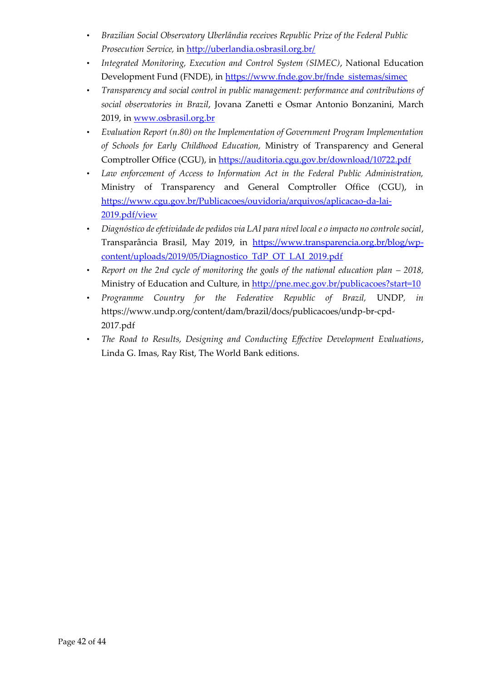- *Brazilian Social Observatory Uberlândia receives Republic Prize of the Federal Public Prosecution Service,* in<http://uberlandia.osbrasil.org.br/>
- *Integrated Monitoring, Execution and Control System (SIMEC)*, National Education Development Fund (FNDE), in [https://www.fnde.gov.br/fnde\\_sistemas/simec](https://www.fnde.gov.br/fnde_sistemas/simec)
- *Transparency and social control in public management: performance and contributions of social observatories in Brazil*, Jovana Zanetti e Osmar Antonio Bonzanini, March 2019, in [www.osbrasil.org.br](http://www.osbrasil.org.br/)
- *Evaluation Report (n.80) on the Implementation of Government Program Implementation of Schools for Early Childhood Education,* Ministry of Transparency and General Comptroller Office (CGU), in<https://auditoria.cgu.gov.br/download/10722.pdf>
- *Law enforcement of Access to Information Act in the Federal Public Administration,*  Ministry of Transparency and General Comptroller Office (CGU), in [https://www.cgu.gov.br/Publicacoes/ouvidoria/arquivos/aplicacao-da-lai-](https://www.cgu.gov.br/Publicacoes/ouvidoria/arquivos/aplicacao-da-lai-2019.pdf/view)[2019.pdf/view](https://www.cgu.gov.br/Publicacoes/ouvidoria/arquivos/aplicacao-da-lai-2019.pdf/view)
- *Diagnóstico de efetividade de pedidos via LAI para nível local e o impacto no controle social*, Transparância Brasil, May 2019, in [https://www.transparencia.org.br/blog/wp](https://www.transparencia.org.br/blog/wp-content/uploads/2019/05/Diagnostico_TdP_OT_LAI_2019.pdf)[content/uploads/2019/05/Diagnostico\\_TdP\\_OT\\_LAI\\_2019.pdf](https://www.transparencia.org.br/blog/wp-content/uploads/2019/05/Diagnostico_TdP_OT_LAI_2019.pdf)
- *Report on the 2nd cycle of monitoring the goals of the national education plan 2018,* Ministry of Education and Culture, in<http://pne.mec.gov.br/publicacoes?start=10>
- *Programme Country for the Federative Republic of Brazil,* UNDP*, in*  [https://www.undp.org/content/dam/brazil/docs/publicacoes/undp-br-cpd-](https://www.undp.org/content/dam/brazil/docs/publicacoes/undp-br-cpd-2017.pdf)[2017.pdf](https://www.undp.org/content/dam/brazil/docs/publicacoes/undp-br-cpd-2017.pdf)
- *The Road to Results, Designing and Conducting Effective Development Evaluations*, Linda G. Imas, Ray Rist, The World Bank editions.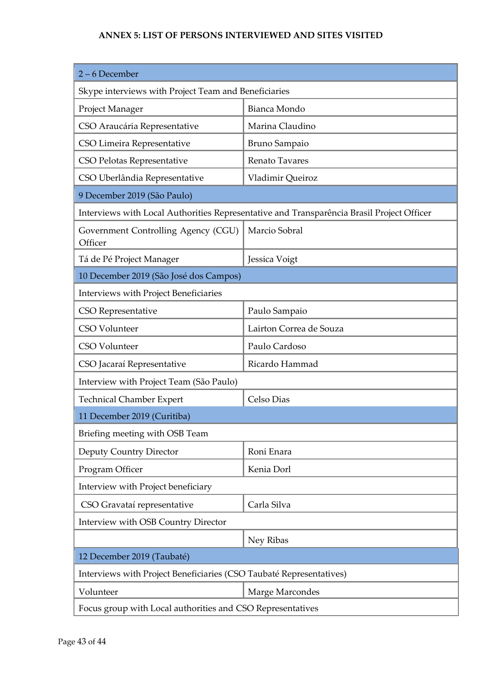### **ANNEX 5: LIST OF PERSONS INTERVIEWED AND SITES VISITED**

<span id="page-42-0"></span>

| 2-6 December                                                        |                                                                                           |
|---------------------------------------------------------------------|-------------------------------------------------------------------------------------------|
| Skype interviews with Project Team and Beneficiaries                |                                                                                           |
| Project Manager                                                     | Bianca Mondo                                                                              |
| CSO Araucária Representative                                        | Marina Claudino                                                                           |
| CSO Limeira Representative                                          | Bruno Sampaio                                                                             |
| CSO Pelotas Representative                                          | Renato Tavares                                                                            |
| CSO Uberlândia Representative                                       | Vladimir Queiroz                                                                          |
| 9 December 2019 (São Paulo)                                         |                                                                                           |
|                                                                     | Interviews with Local Authorities Representative and Transparência Brasil Project Officer |
| Government Controlling Agency (CGU)<br>Officer                      | Marcio Sobral                                                                             |
| Tá de Pé Project Manager                                            | Jessica Voigt                                                                             |
| 10 December 2019 (São José dos Campos)                              |                                                                                           |
| <b>Interviews with Project Beneficiaries</b>                        |                                                                                           |
| CSO Representative                                                  | Paulo Sampaio                                                                             |
| CSO Volunteer                                                       | Lairton Correa de Souza                                                                   |
| CSO Volunteer                                                       | Paulo Cardoso                                                                             |
| CSO Jacaraí Representative                                          | Ricardo Hammad                                                                            |
| Interview with Project Team (São Paulo)                             |                                                                                           |
| <b>Technical Chamber Expert</b>                                     | Celso Dias                                                                                |
| 11 December 2019 (Curitiba)                                         |                                                                                           |
| Briefing meeting with OSB Team                                      |                                                                                           |
| Deputy Country Director                                             | Roni Enara                                                                                |
| Program Officer                                                     | Kenia Dorl                                                                                |
| Interview with Project beneficiary                                  |                                                                                           |
| CSO Gravataí representative                                         | Carla Silva                                                                               |
| Interview with OSB Country Director                                 |                                                                                           |
|                                                                     | Ney Ribas                                                                                 |
| 12 December 2019 (Taubaté)                                          |                                                                                           |
| Interviews with Project Beneficiaries (CSO Taubaté Representatives) |                                                                                           |
| Volunteer                                                           | Marge Marcondes                                                                           |
| Focus group with Local authorities and CSO Representatives          |                                                                                           |